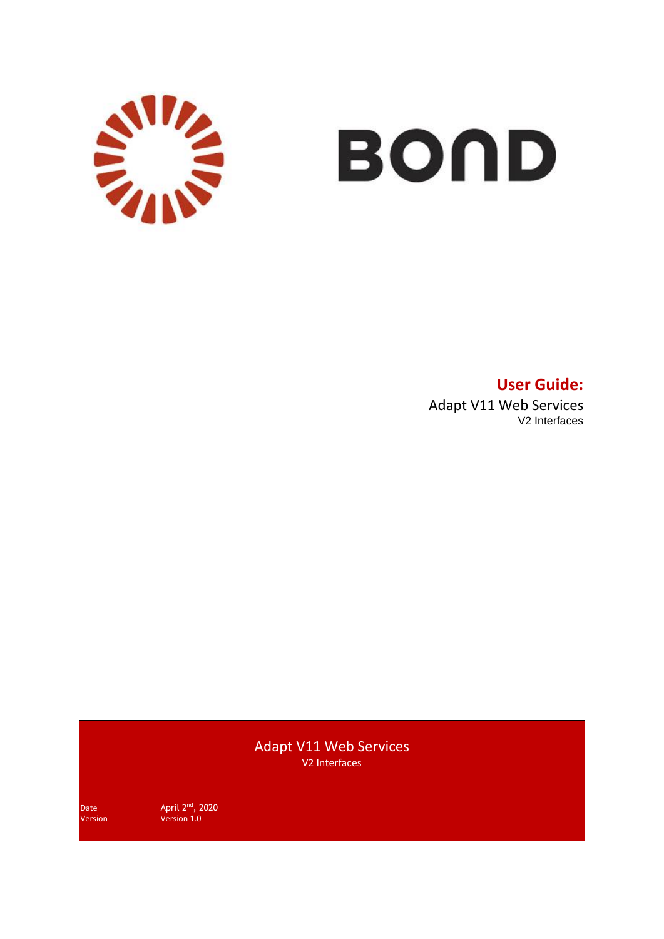

# **BOND**

**User Guide:** Adapt V11 Web Services V2 Interfaces

Adapt V11 Web Services V2 Interfaces

Date April 2<sup>nd</sup>, 2020 Version Version 1.0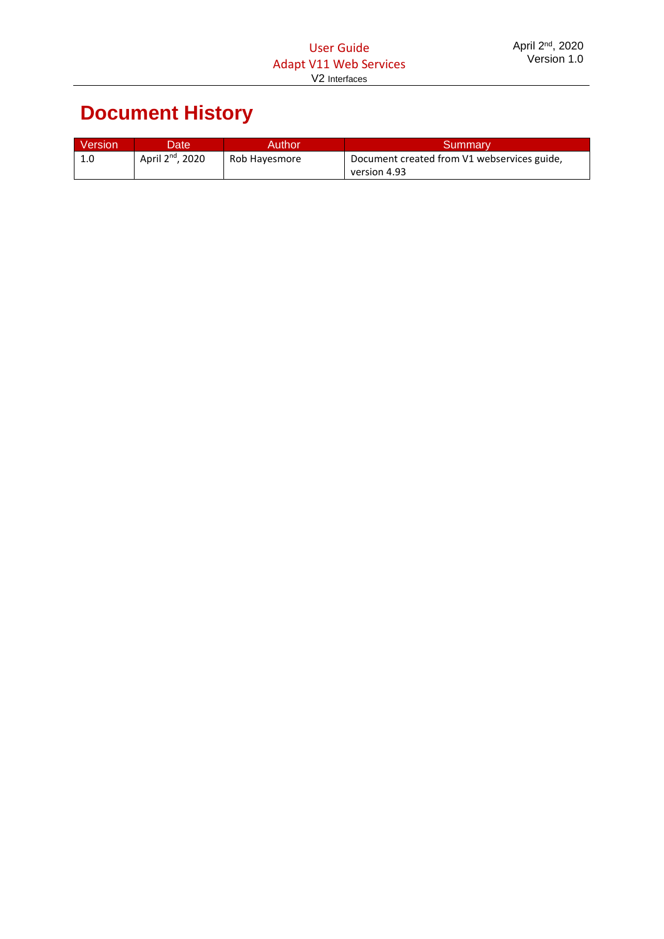# **Document History**

| <b>Version</b> | Date'                        | Author        | <b>Summarv</b>                              |
|----------------|------------------------------|---------------|---------------------------------------------|
| 1.0            | April 2 <sup>nd</sup> , 2020 | Rob Hayesmore | Document created from V1 webservices guide, |
|                |                              |               | version 4.93                                |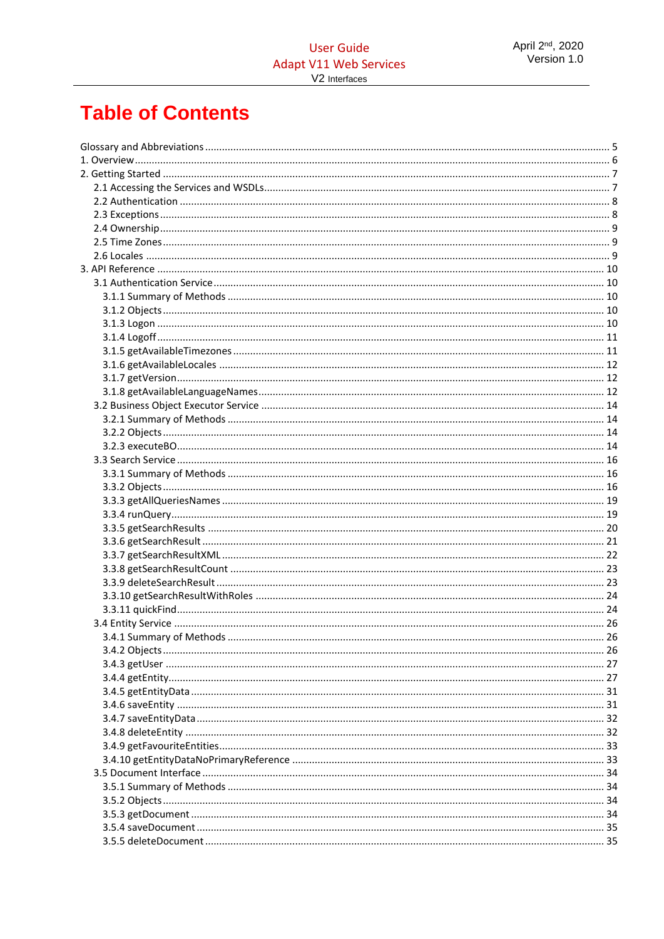# **Table of Contents**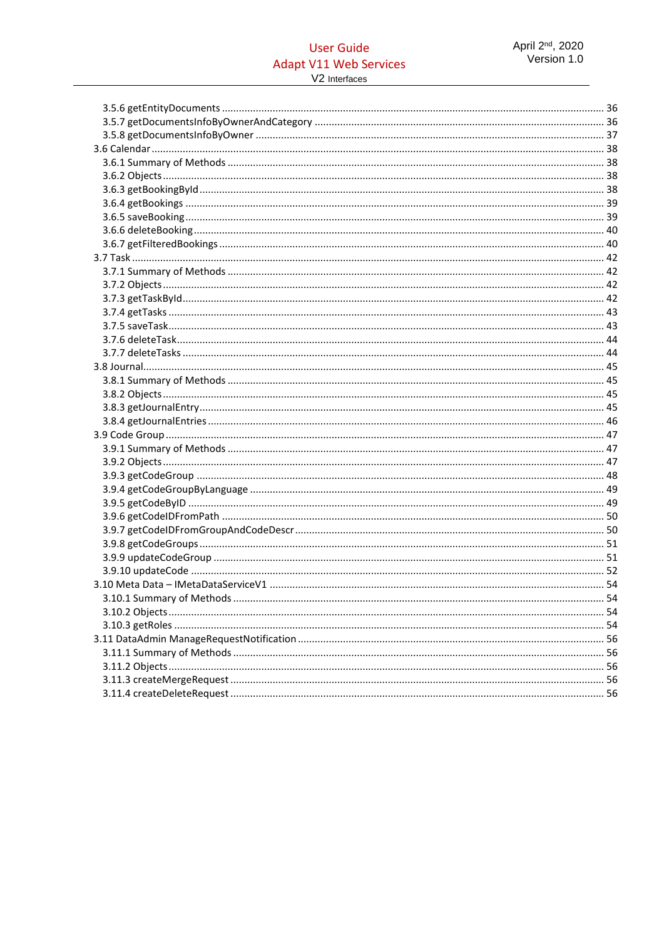# **User Guide Adapt V11 Web Services**

V2 Interfaces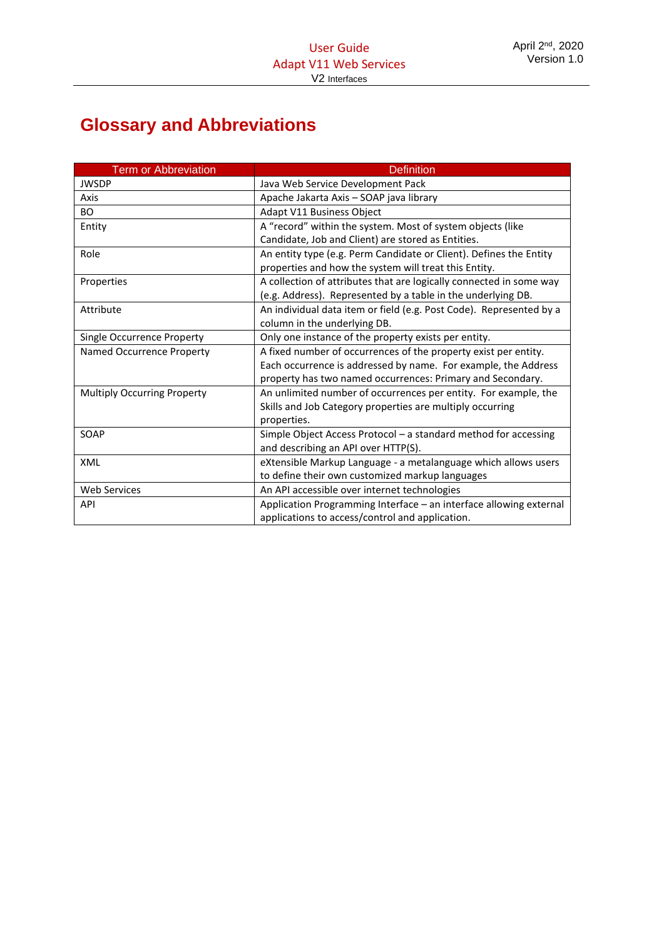# <span id="page-4-0"></span>**Glossary and Abbreviations**

| <b>Term or Abbreviation</b>        | <b>Definition</b>                                                   |
|------------------------------------|---------------------------------------------------------------------|
| <b>JWSDP</b>                       | Java Web Service Development Pack                                   |
| Axis                               | Apache Jakarta Axis - SOAP java library                             |
| <b>BO</b>                          | Adapt V11 Business Object                                           |
| Entity                             | A "record" within the system. Most of system objects (like          |
|                                    | Candidate, Job and Client) are stored as Entities.                  |
| Role                               | An entity type (e.g. Perm Candidate or Client). Defines the Entity  |
|                                    | properties and how the system will treat this Entity.               |
| Properties                         | A collection of attributes that are logically connected in some way |
|                                    | (e.g. Address). Represented by a table in the underlying DB.        |
| Attribute                          | An individual data item or field (e.g. Post Code). Represented by a |
|                                    | column in the underlying DB.                                        |
| Single Occurrence Property         | Only one instance of the property exists per entity.                |
| Named Occurrence Property          | A fixed number of occurrences of the property exist per entity.     |
|                                    | Each occurrence is addressed by name. For example, the Address      |
|                                    | property has two named occurrences: Primary and Secondary.          |
| <b>Multiply Occurring Property</b> | An unlimited number of occurrences per entity. For example, the     |
|                                    | Skills and Job Category properties are multiply occurring           |
|                                    | properties.                                                         |
| SOAP                               | Simple Object Access Protocol - a standard method for accessing     |
|                                    | and describing an API over HTTP(S).                                 |
| XML                                | eXtensible Markup Language - a metalanguage which allows users      |
|                                    | to define their own customized markup languages                     |
| <b>Web Services</b>                | An API accessible over internet technologies                        |
| API                                | Application Programming Interface - an interface allowing external  |
|                                    | applications to access/control and application.                     |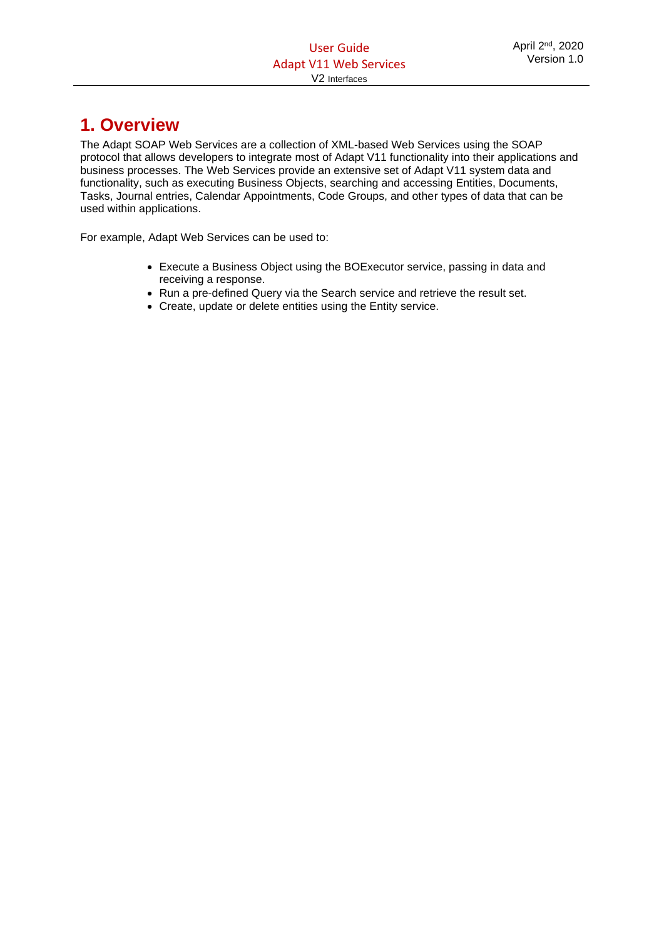# <span id="page-5-0"></span>**1. Overview**

The Adapt SOAP Web Services are a collection of XML-based Web Services using the SOAP protocol that allows developers to integrate most of Adapt V11 functionality into their applications and business processes. The Web Services provide an extensive set of Adapt V11 system data and functionality, such as executing Business Objects, searching and accessing Entities, Documents, Tasks, Journal entries, Calendar Appointments, Code Groups, and other types of data that can be used within applications.

For example, Adapt Web Services can be used to:

- Execute a Business Object using the BOExecutor service, passing in data and receiving a response.
- Run a pre-defined Query via the Search service and retrieve the result set.
- Create, update or delete entities using the Entity service.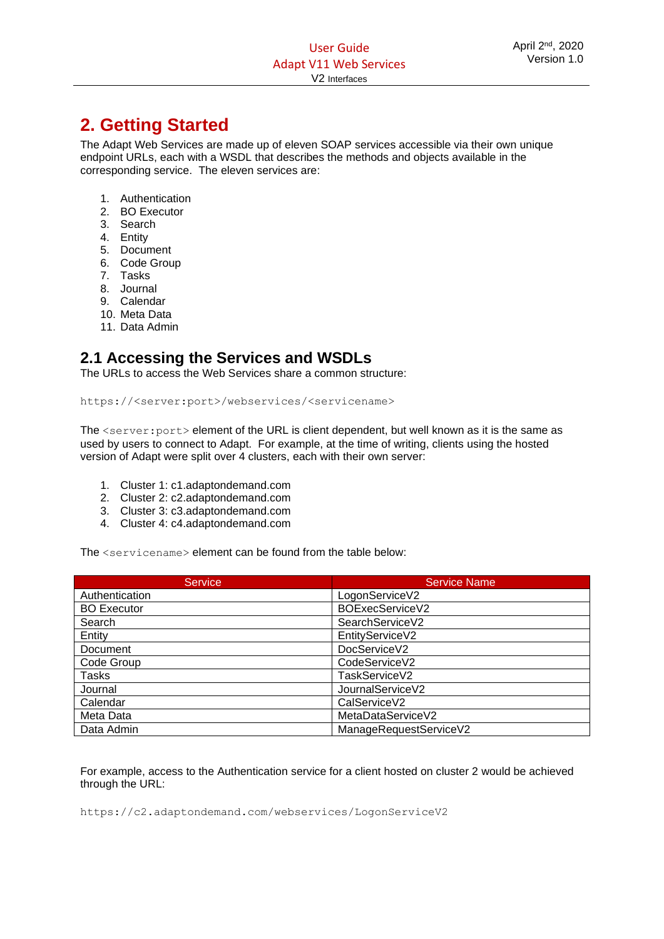# <span id="page-6-0"></span>**2. Getting Started**

The Adapt Web Services are made up of eleven SOAP services accessible via their own unique endpoint URLs, each with a WSDL that describes the methods and objects available in the corresponding service. The eleven services are:

- 1. Authentication
- 2. BO Executor
- 3. Search
- 4. Entity
- 5. Document
- 6. Code Group
- 7. Tasks
- 8. Journal
- 9. Calendar
- 10. Meta Data
- 11. Data Admin

# <span id="page-6-1"></span>**2.1 Accessing the Services and WSDLs**

The URLs to access the Web Services share a common structure:

https://<server:port>/webservices/<servicename>

The <server: port> element of the URL is client dependent, but well known as it is the same as used by users to connect to Adapt. For example, at the time of writing, clients using the hosted version of Adapt were split over 4 clusters, each with their own server:

- 1. Cluster 1: c1.adaptondemand.com
- 2. Cluster 2: c2.adaptondemand.com
- 3. Cluster 3: c3.adaptondemand.com
- 4. Cluster 4: c4.adaptondemand.com

The <servicename> element can be found from the table below:

| <b>Service</b>     | <b>Service Name</b>    |
|--------------------|------------------------|
| Authentication     | LogonServiceV2         |
| <b>BO</b> Executor | BOExecServiceV2        |
| Search             | SearchServiceV2        |
| Entity             | EntityServiceV2        |
| Document           | DocServiceV2           |
| Code Group         | CodeServiceV2          |
| Tasks              | TaskServiceV2          |
| Journal            | JournalServiceV2       |
| Calendar           | CalServiceV2           |
| Meta Data          | MetaDataServiceV2      |
| Data Admin         | ManageRequestServiceV2 |

For example, access to the Authentication service for a client hosted on cluster 2 would be achieved through the URL:

https://c2.adaptondemand.com/webservices/LogonServiceV2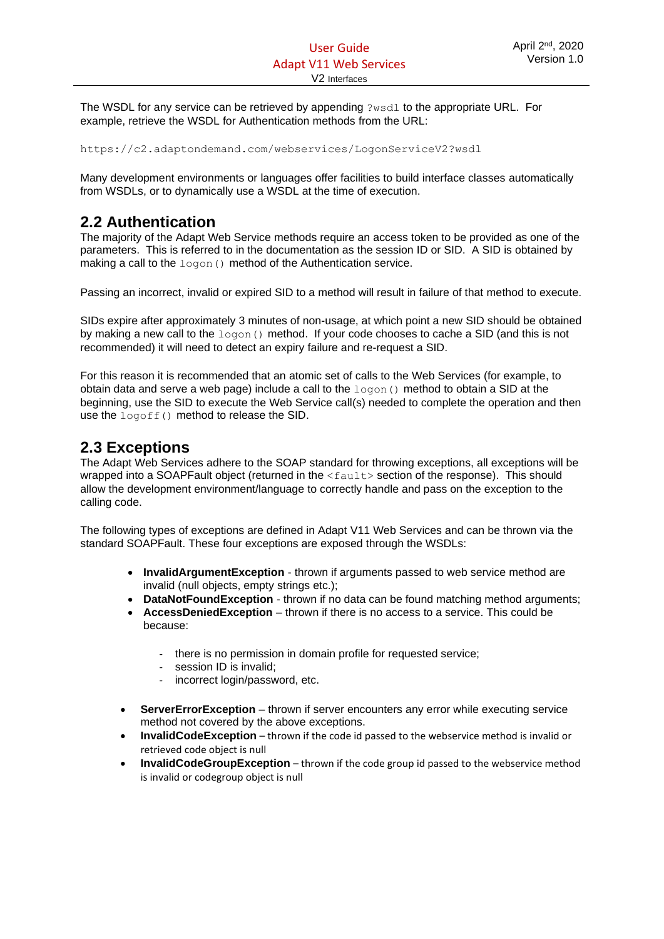The WSDL for any service can be retrieved by appending ?wsdl to the appropriate URL. For example, retrieve the WSDL for Authentication methods from the URL:

https://c2.adaptondemand.com/webservices/LogonServiceV2?wsdl

Many development environments or languages offer facilities to build interface classes automatically from WSDLs, or to dynamically use a WSDL at the time of execution.

# <span id="page-7-0"></span>**2.2 Authentication**

The majority of the Adapt Web Service methods require an access token to be provided as one of the parameters. This is referred to in the documentation as the session ID or SID. A SID is obtained by making a call to the  $logon()$  method of the Authentication service.

Passing an incorrect, invalid or expired SID to a method will result in failure of that method to execute.

SIDs expire after approximately 3 minutes of non-usage, at which point a new SID should be obtained by making a new call to the logon () method. If your code chooses to cache a SID (and this is not recommended) it will need to detect an expiry failure and re-request a SID.

For this reason it is recommended that an atomic set of calls to the Web Services (for example, to obtain data and serve a web page) include a call to the  $logon()$  method to obtain a SID at the beginning, use the SID to execute the Web Service call(s) needed to complete the operation and then use the logoff() method to release the SID.

# <span id="page-7-1"></span>**2.3 Exceptions**

The Adapt Web Services adhere to the SOAP standard for throwing exceptions, all exceptions will be wrapped into a SOAPFault object (returned in the  $\leq$  fault  $\geq$  section of the response). This should allow the development environment/language to correctly handle and pass on the exception to the calling code.

The following types of exceptions are defined in Adapt V11 Web Services and can be thrown via the standard SOAPFault. These four exceptions are exposed through the WSDLs:

- **InvalidArgumentException** thrown if arguments passed to web service method are invalid (null objects, empty strings etc.);
- **DataNotFoundException** thrown if no data can be found matching method arguments;
- **AccessDeniedException** thrown if there is no access to a service. This could be because:
	- there is no permission in domain profile for requested service:
	- session ID is invalid:
	- incorrect login/password, etc.
- **ServerErrorException** thrown if server encounters any error while executing service method not covered by the above exceptions.
- **InvalidCodeException** thrown if the code id passed to the webservice method is invalid or retrieved code object is null
- **InvalidCodeGroupException** thrown if the code group id passed to the webservice method is invalid or codegroup object is null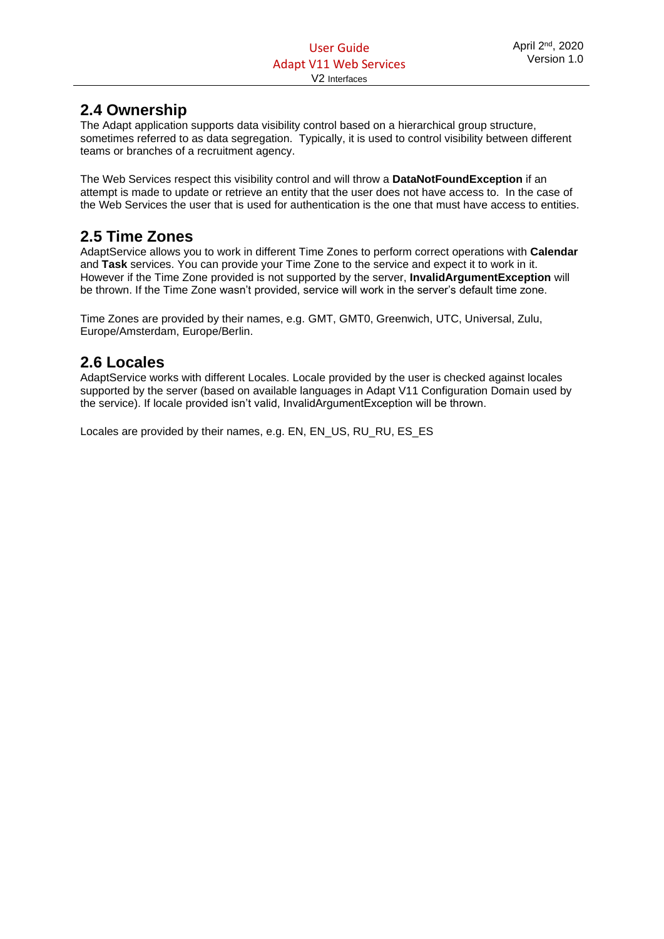# <span id="page-8-0"></span>**2.4 Ownership**

The Adapt application supports data visibility control based on a hierarchical group structure, sometimes referred to as data segregation. Typically, it is used to control visibility between different teams or branches of a recruitment agency.

The Web Services respect this visibility control and will throw a **DataNotFoundException** if an attempt is made to update or retrieve an entity that the user does not have access to. In the case of the Web Services the user that is used for authentication is the one that must have access to entities.

# <span id="page-8-1"></span>**2.5 Time Zones**

AdaptService allows you to work in different Time Zones to perform correct operations with **Calendar** and **Task** services. You can provide your Time Zone to the service and expect it to work in it. However if the Time Zone provided is not supported by the server, **InvalidArgumentException** will be thrown. If the Time Zone wasn't provided, service will work in the server's default time zone.

Time Zones are provided by their names, e.g. GMT, GMT0, Greenwich, UTC, Universal, Zulu, Europe/Amsterdam, Europe/Berlin.

# <span id="page-8-2"></span>**2.6 Locales**

AdaptService works with different Locales. Locale provided by the user is checked against locales supported by the server (based on available languages in Adapt V11 Configuration Domain used by the service). If locale provided isn't valid, InvalidArgumentException will be thrown.

Locales are provided by their names, e.g. EN, EN\_US, RU\_RU, ES\_ES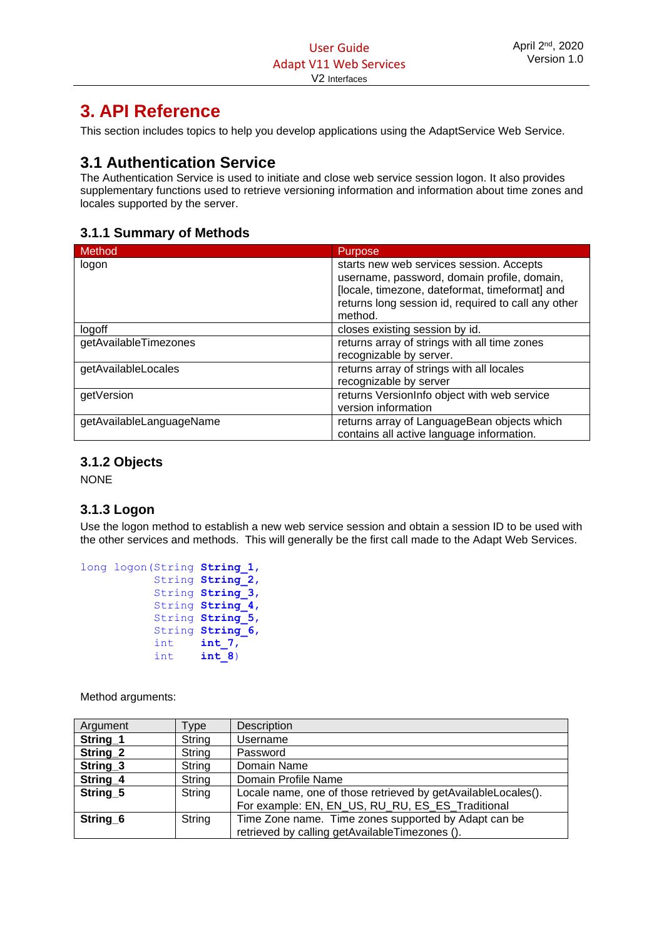# <span id="page-9-0"></span>**3. API Reference**

This section includes topics to help you develop applications using the AdaptService Web Service.

# <span id="page-9-1"></span>**3.1 Authentication Service**

The Authentication Service is used to initiate and close web service session logon. It also provides supplementary functions used to retrieve versioning information and information about time zones and locales supported by the server.

# <span id="page-9-2"></span>**3.1.1 Summary of Methods**

| <b>Method</b>            | <b>Purpose</b>                                                                                                                                                                                              |
|--------------------------|-------------------------------------------------------------------------------------------------------------------------------------------------------------------------------------------------------------|
| logon                    | starts new web services session. Accepts<br>username, password, domain profile, domain,<br>[locale, timezone, dateformat, timeformat] and<br>returns long session id, required to call any other<br>method. |
| logoff                   | closes existing session by id.                                                                                                                                                                              |
| getAvailableTimezones    | returns array of strings with all time zones<br>recognizable by server.                                                                                                                                     |
| getAvailableLocales      | returns array of strings with all locales<br>recognizable by server                                                                                                                                         |
| getVersion               | returns VersionInfo object with web service<br>version information                                                                                                                                          |
| getAvailableLanguageName | returns array of LanguageBean objects which<br>contains all active language information.                                                                                                                    |

# <span id="page-9-3"></span>**3.1.2 Objects**

NONE

# <span id="page-9-4"></span>**3.1.3 Logon**

Use the logon method to establish a new web service session and obtain a session ID to be used with the other services and methods. This will generally be the first call made to the Adapt Web Services.

```
long logon(String String_1, 
             String String_2, 
              String String_3, 
              String String_4, 
              String String_5, 
              String String_6, 
              int int_7, 
             int int int<sup>8</sup>)
```

| Argument            | [vpe]  | Description                                                                                                       |
|---------------------|--------|-------------------------------------------------------------------------------------------------------------------|
| String_1            | String | Username                                                                                                          |
| String_2            | String | Password                                                                                                          |
| String_3            | String | Domain Name                                                                                                       |
| String_4            | String | Domain Profile Name                                                                                               |
| String <sub>5</sub> | String | Locale name, one of those retrieved by getAvailableLocales().<br>For example: EN, EN_US, RU_RU, ES_ES_Traditional |
| String <sub>6</sub> | String | Time Zone name. Time zones supported by Adapt can be<br>retrieved by calling getAvailableTimezones ().            |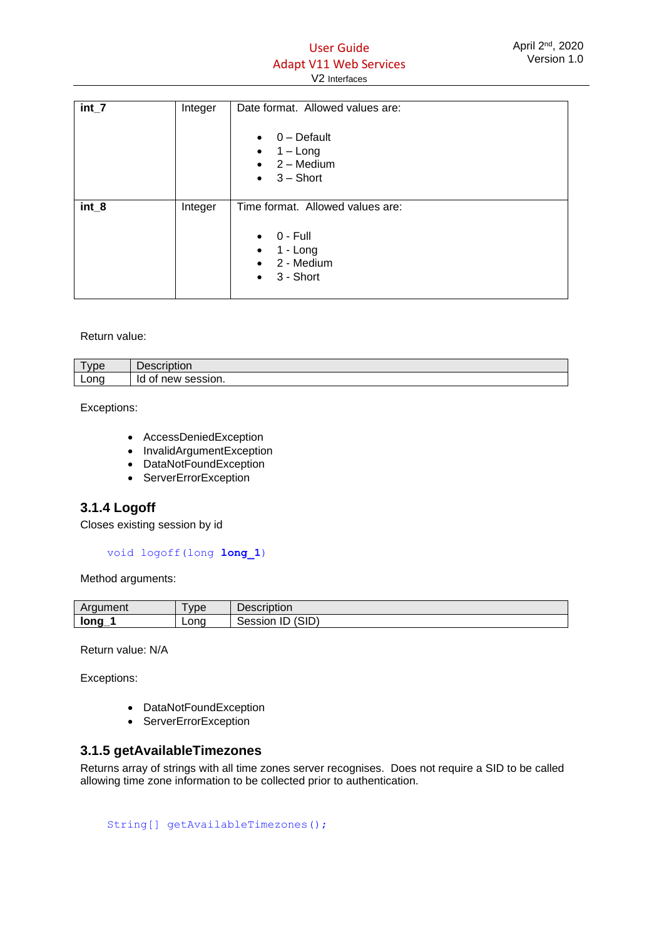# User Guide Adapt V11 Web Services V2 Interfaces

| $int_7$ | Integer | Date format. Allowed values are:<br>$0$ – Default<br>$\bullet$<br>$1 - Long$<br>$\bullet$<br>$\bullet$ 2 – Medium<br>$3 -$ Short<br>$\bullet$ |
|---------|---------|-----------------------------------------------------------------------------------------------------------------------------------------------|
| $int_8$ | Integer | Time format. Allowed values are:<br>$0 - Full$<br>$\bullet$<br>1 - Long<br>$\bullet$<br>2 - Medium<br>$\bullet$<br>3 - Short<br>$\bullet$     |

Return value:

| vpe  | -<br><b><i><u>Property</u></i></b><br><b>Description</b> |
|------|----------------------------------------------------------|
| Long | session.<br>IQ<br>$\sim$<br>new<br>∼                     |

Exceptions:

- AccessDeniedException
- InvalidArgumentException
- DataNotFoundException
- ServerErrorException

# <span id="page-10-0"></span>**3.1.4 Logoff**

Closes existing session by id

void logoff(long **long\_1**)

Method arguments:

| วument<br>Ar | _<br>vpe | Description                      |
|--------------|----------|----------------------------------|
| long         | Lona     | (SID)<br>$\sim$<br>Session<br>ΙU |

Return value: N/A

Exceptions:

- DataNotFoundException
- ServerErrorException

### <span id="page-10-1"></span>**3.1.5 getAvailableTimezones**

Returns array of strings with all time zones server recognises. Does not require a SID to be called allowing time zone information to be collected prior to authentication.

String[] getAvailableTimezones();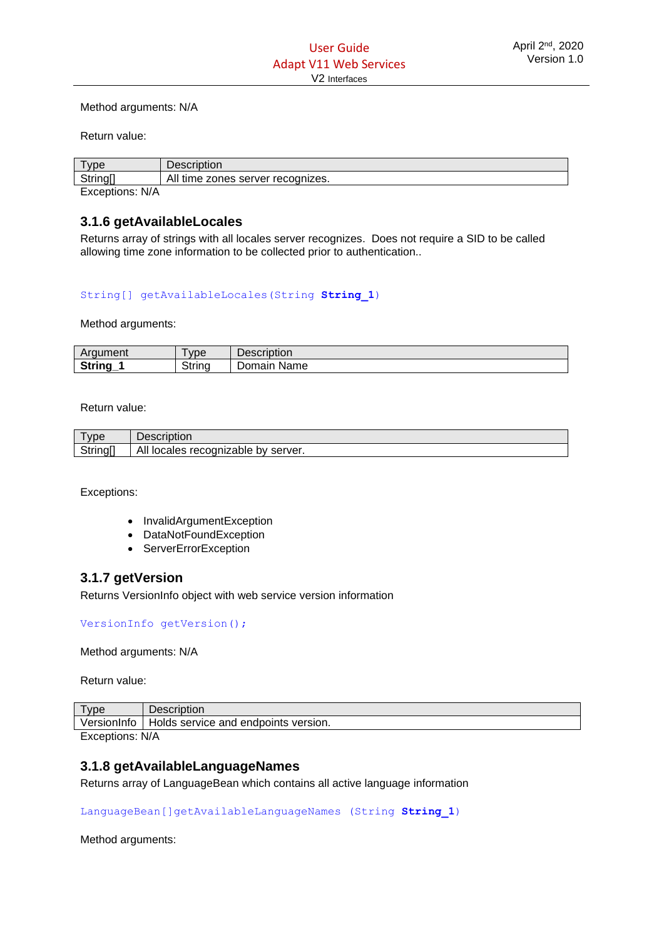#### Method arguments: N/A

Return value:

| $v$ pe          | <b>Description</b>                |
|-----------------|-----------------------------------|
| <b>String</b>   | All time zones server recognizes. |
| Exceptions: N/A |                                   |

# <span id="page-11-0"></span>**3.1.6 getAvailableLocales**

Returns array of strings with all locales server recognizes. Does not require a SID to be called allowing time zone information to be collected prior to authentication..

#### String[] getAvailableLocales(String **String\_1**)

Method arguments:

| <b>Argument</b>     | vpe    | Description    |
|---------------------|--------|----------------|
| <b>String</b><br>-- | String | Name<br>Domain |

Return value:

| vpe      | Description                         |
|----------|-------------------------------------|
| String[] | All locales recognizable by server. |

Exceptions:

- InvalidArgumentException
- DataNotFoundException
- ServerErrorException

# <span id="page-11-1"></span>**3.1.7 getVersion**

Returns VersionInfo object with web service version information

VersionInfo getVersion();

Method arguments: N/A

Return value:

| VD <sub>E</sub>            | Description                              |  |
|----------------------------|------------------------------------------|--|
| VersionInfo                | service and endpoints version.<br>Holds. |  |
| Evolution <sub>c</sub> N/A |                                          |  |

Exceptions: N/A

# <span id="page-11-2"></span>**3.1.8 getAvailableLanguageNames**

Returns array of LanguageBean which contains all active language information

LanguageBean[]getAvailableLanguageNames (String **String\_1**)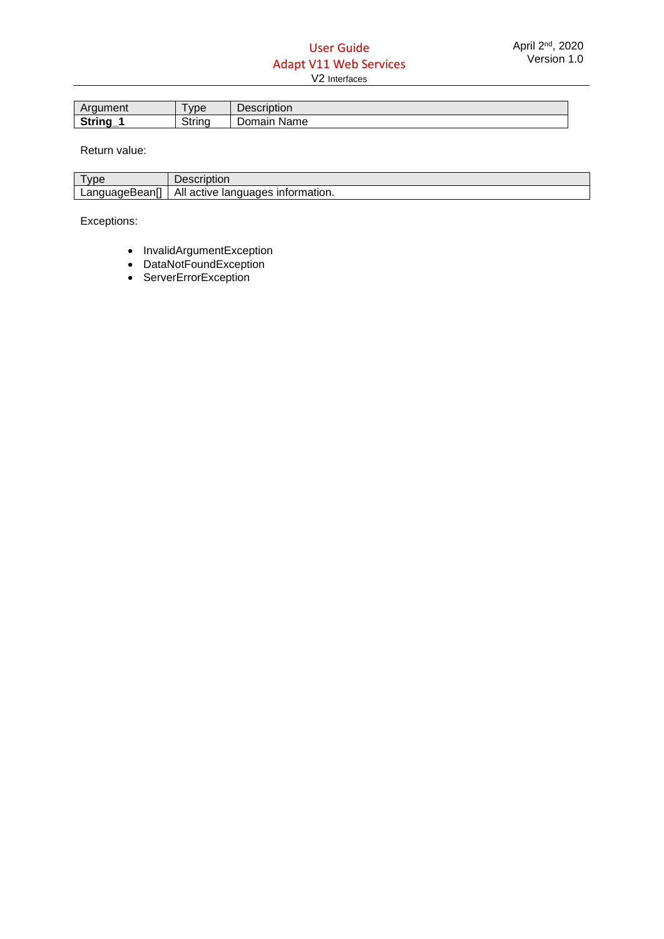| Araument | -<br>vpe | Description    |
|----------|----------|----------------|
| String   | String   | Name<br>Domain |

Return value:

| <b>vpe</b>                | SCHDUOH                                    |
|---------------------------|--------------------------------------------|
| LanguageBean <sup>1</sup> | All<br>languages<br>information.<br>active |

Exceptions:

- InvalidArgumentException
- DataNotFoundException
- ServerErrorException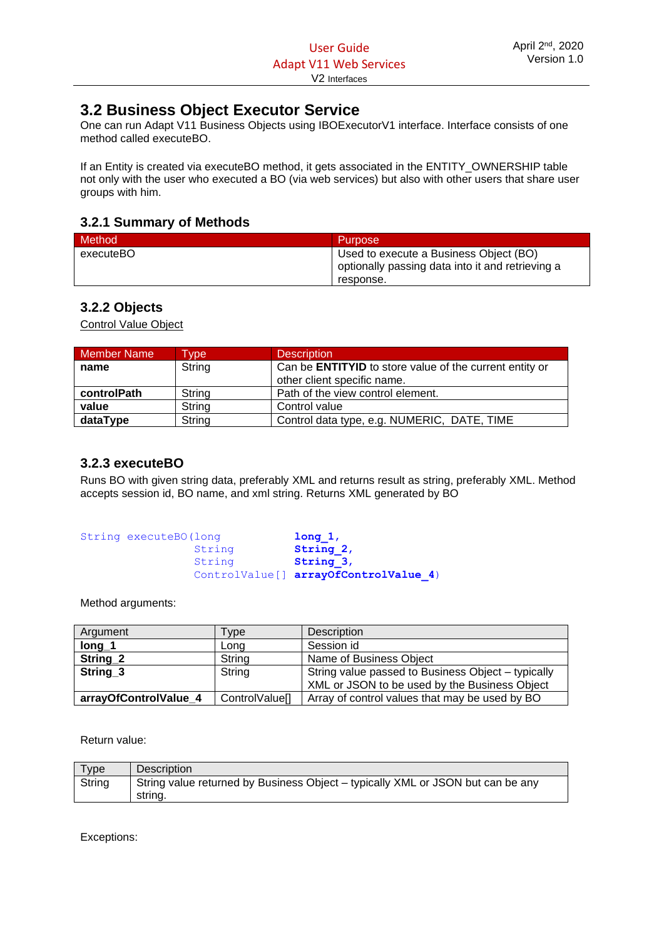# <span id="page-13-0"></span>**3.2 Business Object Executor Service**

One can run Adapt V11 Business Objects using IBOExecutorV1 interface. Interface consists of one method called executeBO.

If an Entity is created via executeBO method, it gets associated in the ENTITY\_OWNERSHIP table not only with the user who executed a BO (via web services) but also with other users that share user groups with him.

# <span id="page-13-1"></span>**3.2.1 Summary of Methods**

| <b>Method</b> | Purpose <sup>1</sup>                             |
|---------------|--------------------------------------------------|
| executeBO     | Used to execute a Business Object (BO)           |
|               | optionally passing data into it and retrieving a |
|               | response.                                        |

# <span id="page-13-2"></span>**3.2.2 Objects**

Control Value Object

| <b>Member Name</b> | <b>Vpe</b> | <b>Description</b>                                             |
|--------------------|------------|----------------------------------------------------------------|
| name               | String     | Can be <b>ENTITYID</b> to store value of the current entity or |
|                    |            | other client specific name.                                    |
| controlPath        | String     | Path of the view control element.                              |
| value              | String     | Control value                                                  |
| dataType           | String     | Control data type, e.g. NUMERIC, DATE, TIME                    |

# <span id="page-13-3"></span>**3.2.3 executeBO**

Runs BO with given string data, preferably XML and returns result as string, preferably XML. Method accepts session id, BO name, and xml string. Returns XML generated by BO

| String executeBO (long |        | long 1,                               |  |
|------------------------|--------|---------------------------------------|--|
|                        | String | String 2,                             |  |
|                        | String | String 3,                             |  |
|                        |        | ControlValue[] arrayOfControlValue 4) |  |

Method arguments:

| Argument              | <b>Type</b>           | Description                                        |
|-----------------------|-----------------------|----------------------------------------------------|
| $long_1$              | Long                  | Session id                                         |
| String <sub>2</sub>   | String                | Name of Business Object                            |
| String <sub>3</sub>   | String                | String value passed to Business Object – typically |
|                       |                       | XML or JSON to be used by the Business Object      |
| arrayOfControlValue 4 | <b>ControlValuel1</b> | Array of control values that may be used by BO     |

Return value:

| $\tau$ ype | Description                                                                     |
|------------|---------------------------------------------------------------------------------|
| String     | String value returned by Business Object – typically XML or JSON but can be any |
|            | strina.                                                                         |

Exceptions: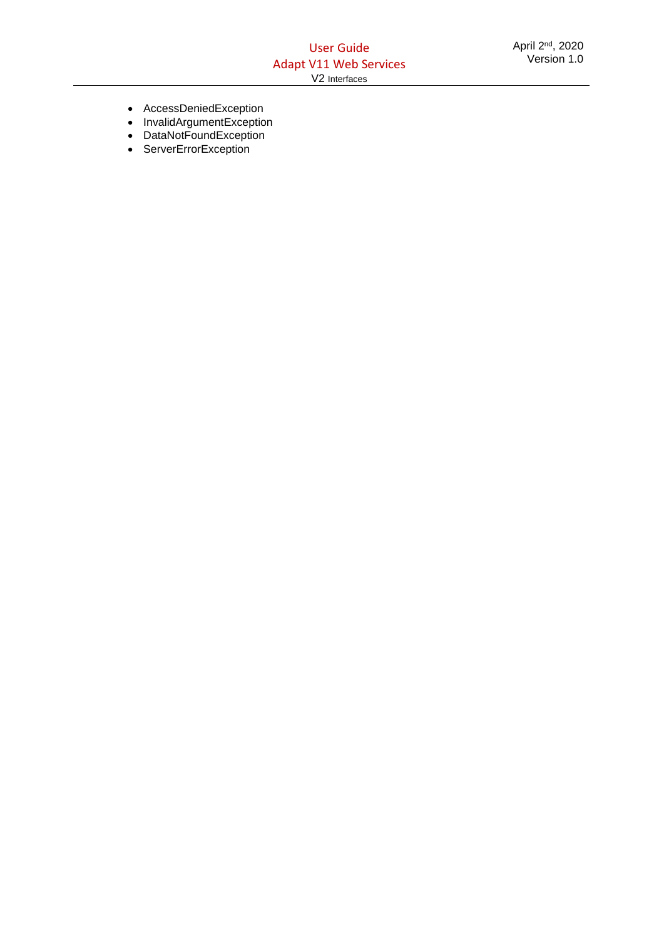- AccessDeniedException
- InvalidArgumentException
- DataNotFoundException
- ServerErrorException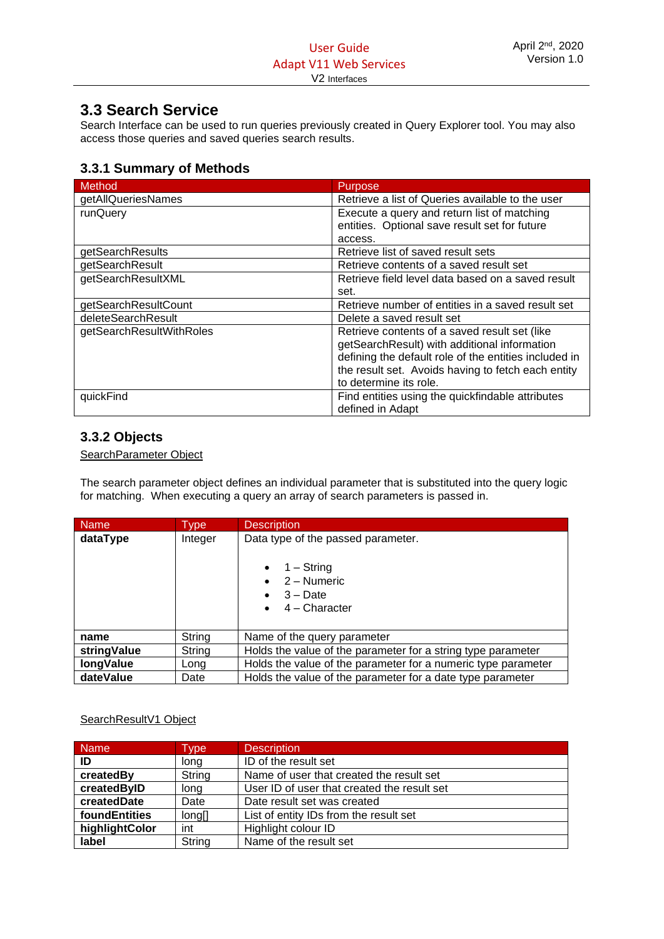# <span id="page-15-0"></span>**3.3 Search Service**

Search Interface can be used to run queries previously created in Query Explorer tool. You may also access those queries and saved queries search results.

# <span id="page-15-1"></span>**3.3.1 Summary of Methods**

| Method                   | <b>Purpose</b>                                        |
|--------------------------|-------------------------------------------------------|
| getAllQueriesNames       | Retrieve a list of Queries available to the user      |
| runQuery                 | Execute a query and return list of matching           |
|                          | entities. Optional save result set for future         |
|                          | access.                                               |
| getSearchResults         | Retrieve list of saved result sets                    |
| getSearchResult          | Retrieve contents of a saved result set               |
| getSearchResultXML       | Retrieve field level data based on a saved result     |
|                          | set.                                                  |
| getSearchResultCount     | Retrieve number of entities in a saved result set     |
| deleteSearchResult       | Delete a saved result set                             |
| getSearchResultWithRoles | Retrieve contents of a saved result set (like         |
|                          | getSearchResult) with additional information          |
|                          | defining the default role of the entities included in |
|                          | the result set. Avoids having to fetch each entity    |
|                          | to determine its role.                                |
| quickFind                | Find entities using the quickfindable attributes      |
|                          | defined in Adapt                                      |

# <span id="page-15-2"></span>**3.3.2 Objects**

SearchParameter Object

The search parameter object defines an individual parameter that is substituted into the query logic for matching. When executing a query an array of search parameters is passed in.

| Name        | Type    | <b>Description</b>                                                                               |
|-------------|---------|--------------------------------------------------------------------------------------------------|
| dataType    | Integer | Data type of the passed parameter.<br>$1 -$ String<br>2 – Numeric<br>$3 - Date$<br>4 - Character |
| name        | String  | Name of the query parameter                                                                      |
| stringValue | String  | Holds the value of the parameter for a string type parameter                                     |
| longValue   | Long    | Holds the value of the parameter for a numeric type parameter                                    |
| dateValue   | Date    | Holds the value of the parameter for a date type parameter                                       |

# SearchResultV1 Object

| <b>Name</b>    | Type   | <b>Description</b>                          |
|----------------|--------|---------------------------------------------|
| ID             | long   | ID of the result set                        |
| createdBy      | String | Name of user that created the result set    |
| createdByID    | long   | User ID of user that created the result set |
| createdDate    | Date   | Date result set was created                 |
| foundEntities  | long[] | List of entity IDs from the result set      |
| highlightColor | int    | Highlight colour ID                         |
| label          | String | Name of the result set                      |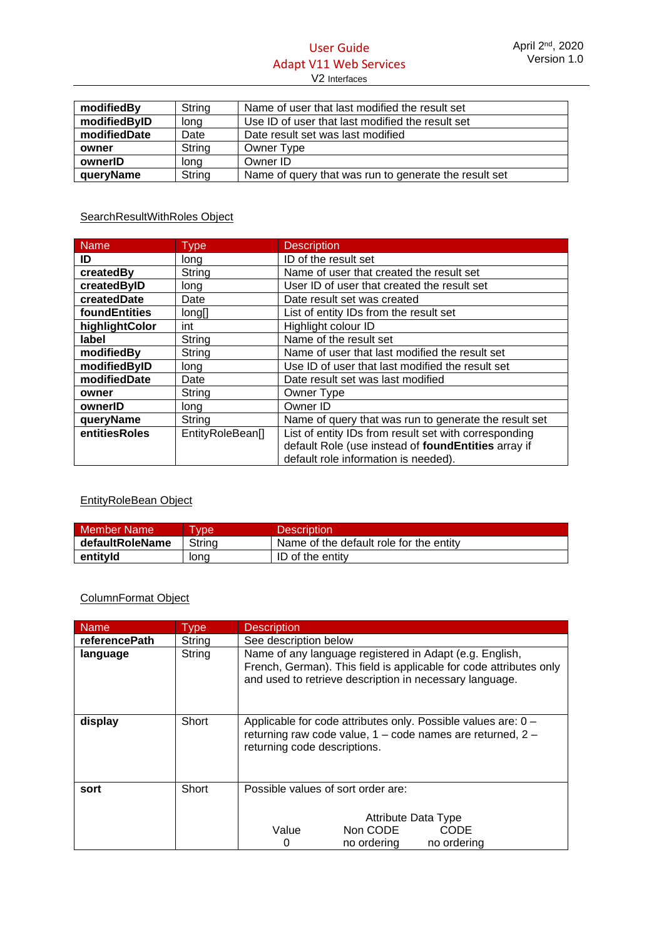# User Guide Adapt V11 Web Services V2 Interfaces

| modifiedBy   | String | Name of user that last modified the result set        |  |
|--------------|--------|-------------------------------------------------------|--|
| modifiedByID | long   | Use ID of user that last modified the result set      |  |
| modifiedDate | Date   | Date result set was last modified                     |  |
| owner        | String | Owner Type                                            |  |
| ownerID      | long   | Owner ID                                              |  |
| queryName    | String | Name of query that was run to generate the result set |  |

# SearchResultWithRoles Object

| <b>Name</b>    | <b>Type</b>      | <b>Description</b>                                    |
|----------------|------------------|-------------------------------------------------------|
| ID             | long             | ID of the result set                                  |
| createdBy      | String           | Name of user that created the result set              |
| createdByID    | long             | User ID of user that created the result set           |
| createdDate    | Date             | Date result set was created                           |
| foundEntities  | long[]           | List of entity IDs from the result set                |
| highlightColor | int              | Highlight colour ID                                   |
| label          | String           | Name of the result set                                |
| modifiedBy     | String           | Name of user that last modified the result set        |
| modifiedByID   | long             | Use ID of user that last modified the result set      |
| modifiedDate   | Date             | Date result set was last modified                     |
| owner          | String           | Owner Type                                            |
| ownerID        | long             | Owner ID                                              |
| queryName      | String           | Name of query that was run to generate the result set |
| entitiesRoles  | EntityRoleBean[] | List of entity IDs from result set with corresponding |
|                |                  | default Role (use instead of foundEntities array if   |
|                |                  | default role information is needed).                  |

# EntityRoleBean Object

| <b>Member Name</b> | <b>vpe</b> | <b>Description</b>                      |
|--------------------|------------|-----------------------------------------|
| defaultRoleName    | Strina     | Name of the default role for the entity |
| entityld           | lona       | ID of the entity                        |

# ColumnFormat Object

| <b>Name</b>          | Type   | <b>Description</b>                                                                                                                                                                       |  |
|----------------------|--------|------------------------------------------------------------------------------------------------------------------------------------------------------------------------------------------|--|
| <b>referencePath</b> | String | See description below                                                                                                                                                                    |  |
| language             | String | Name of any language registered in Adapt (e.g. English,<br>French, German). This field is applicable for code attributes only<br>and used to retrieve description in necessary language. |  |
| display              | Short  | Applicable for code attributes only. Possible values are: 0 -<br>returning raw code value, 1 – code names are returned, 2 –<br>returning code descriptions.                              |  |
| sort                 | Short  | Possible values of sort order are:                                                                                                                                                       |  |
|                      |        |                                                                                                                                                                                          |  |
|                      |        | Attribute Data Type                                                                                                                                                                      |  |
|                      |        | Value<br>Non CODE<br>CODE                                                                                                                                                                |  |
|                      |        | no ordering<br>no ordering<br>0                                                                                                                                                          |  |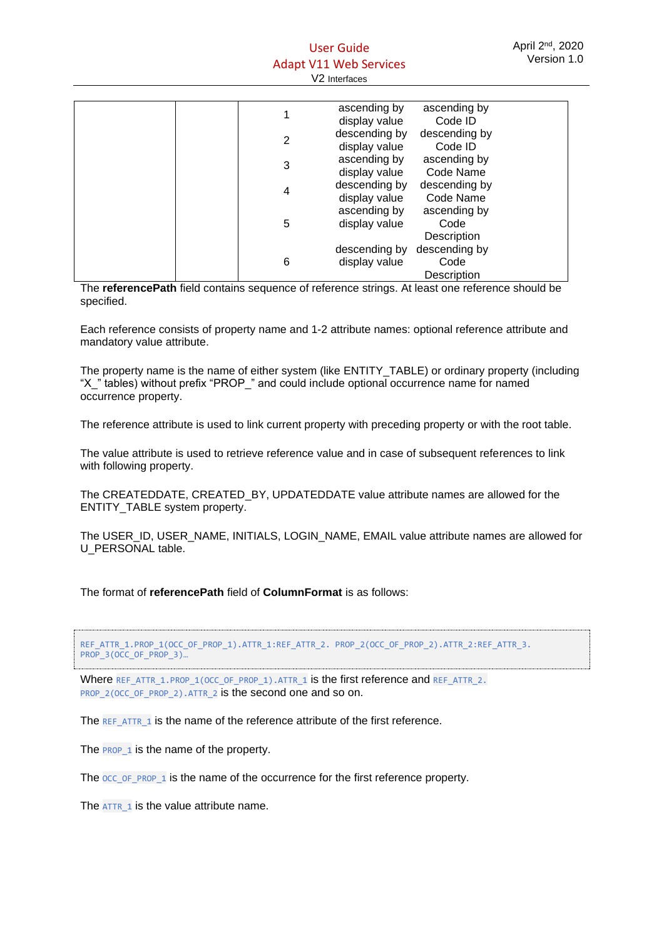## User Guide Adapt V11 Web Services V2 Interfaces

|   | ascending by<br>display value  | ascending by<br>Code ID              |
|---|--------------------------------|--------------------------------------|
| 2 | descending by<br>display value | descending by<br>Code ID             |
| 3 | ascending by<br>display value  | ascending by<br>Code Name            |
| 4 | descending by<br>display value | descending by<br>Code Name           |
| 5 | ascending by<br>display value  | ascending by<br>Code<br>Description  |
| 6 | descending by<br>display value | descending by<br>Code<br>Description |

The **referencePath** field contains sequence of reference strings. At least one reference should be specified.

Each reference consists of property name and 1-2 attribute names: optional reference attribute and mandatory value attribute.

The property name is the name of either system (like ENTITY\_TABLE) or ordinary property (including "X\_" tables) without prefix "PROP\_" and could include optional occurrence name for named occurrence property.

The reference attribute is used to link current property with preceding property or with the root table.

The value attribute is used to retrieve reference value and in case of subsequent references to link with following property.

The CREATEDDATE, CREATED\_BY, UPDATEDDATE value attribute names are allowed for the ENTITY\_TABLE system property.

The USER\_ID, USER\_NAME, INITIALS, LOGIN\_NAME, EMAIL value attribute names are allowed for U\_PERSONAL table.

The format of **referencePath** field of **ColumnFormat** is as follows:

REF\_ATTR\_1.PROP\_1(OCC\_OF\_PROP\_1).ATTR\_1:REF\_ATTR\_2. PROP\_2(OCC\_OF\_PROP\_2).ATTR\_2:REF\_ATTR\_3. PROP\_3(OCC\_OF\_PROP\_3)...

Where REF\_ATTR\_1.PROP\_1(OCC\_OF\_PROP\_1).ATTR\_1 is the first reference and REF\_ATTR\_2. PROP\_2(OCC\_OF\_PROP\_2).ATTR\_2 is the second one and so on.

The REF\_ATTR\_1 is the name of the reference attribute of the first reference.

The **PROP\_1** is the name of the property.

The  $occ$  of PROP 1 is the name of the occurrence for the first reference property.

The ATTR\_1 is the value attribute name.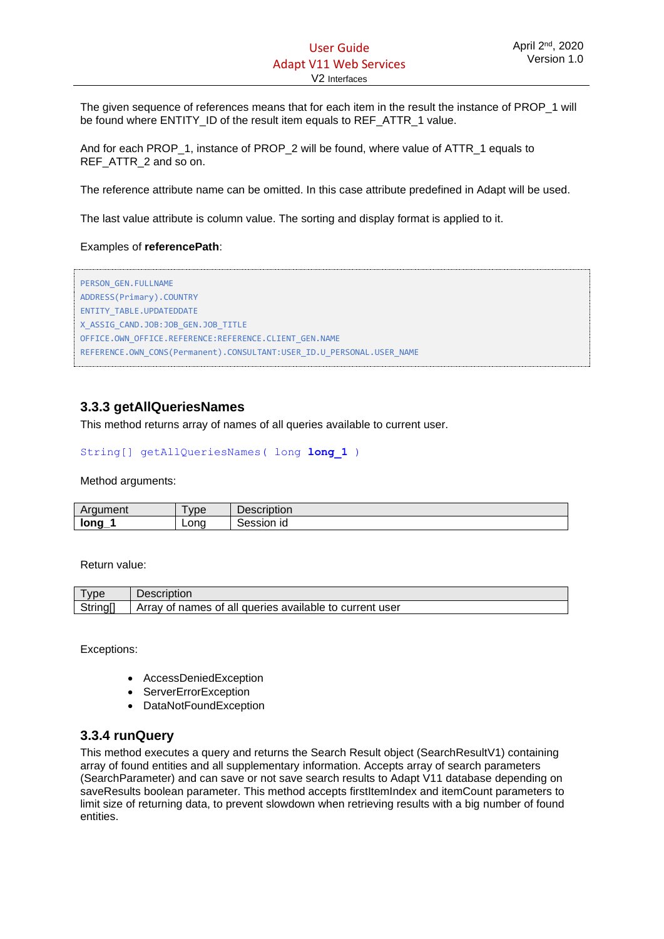The given sequence of references means that for each item in the result the instance of PROP\_1 will be found where ENTITY\_ID of the result item equals to REF\_ATTR\_1 value.

And for each PROP\_1, instance of PROP\_2 will be found, where value of ATTR\_1 equals to REF\_ATTR\_2 and so on.

The reference attribute name can be omitted. In this case attribute predefined in Adapt will be used.

The last value attribute is column value. The sorting and display format is applied to it.

#### Examples of **referencePath**:

```
PERSON_GEN.FULLNAME
ADDRESS(Primary).COUNTRY
ENTITY_TABLE.UPDATEDDATE
X_ASSIG_CAND.JOB:JOB_GEN.JOB_TITLE
OFFICE.OWN_OFFICE.REFERENCE:REFERENCE.CLIENT_GEN.NAME
REFERENCE.OWN_CONS(Permanent).CONSULTANT:USER_ID.U_PERSONAL.USER_NAME
```
# <span id="page-18-0"></span>**3.3.3 getAllQueriesNames**

This method returns array of names of all queries available to current user.

#### String[] getAllQueriesNames( long **long\_1** )

Method arguments:

| Araument            | <b>vpe</b> | . .<br>-<br>Description |
|---------------------|------------|-------------------------|
| $\blacksquare$ long | Lona       | Session<br>ıd           |

Return value:

| vpe    | Description                                             |
|--------|---------------------------------------------------------|
| String | Array of names of all queries available to current user |

Exceptions:

- AccessDeniedException
- ServerErrorException
- DataNotFoundException

#### <span id="page-18-1"></span>**3.3.4 runQuery**

This method executes a query and returns the Search Result object (SearchResultV1) containing array of found entities and all supplementary information. Accepts array of search parameters (SearchParameter) and can save or not save search results to Adapt V11 database depending on saveResults boolean parameter. This method accepts firstItemIndex and itemCount parameters to limit size of returning data, to prevent slowdown when retrieving results with a big number of found entities.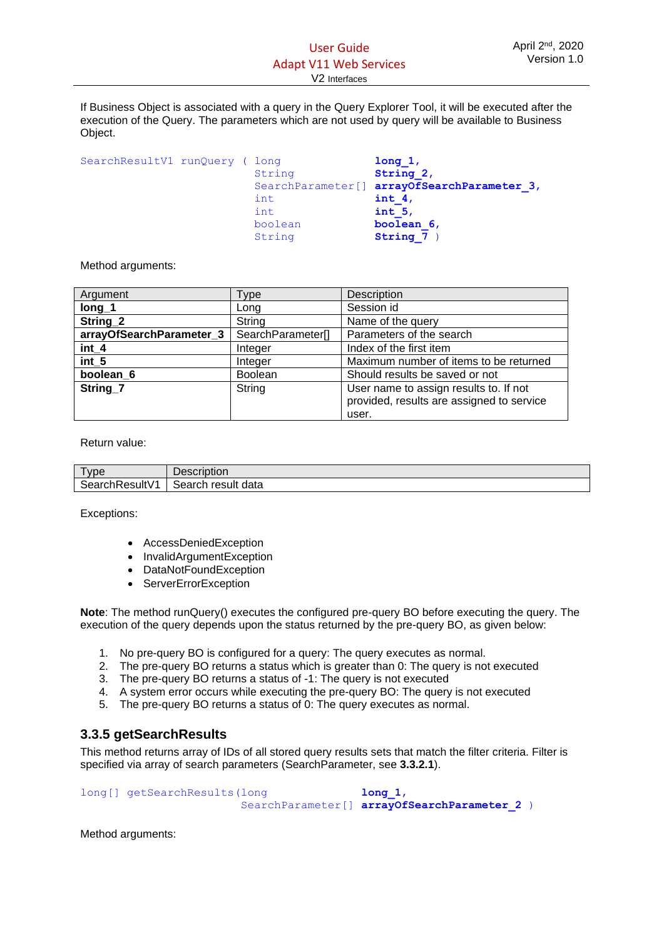If Business Object is associated with a query in the Query Explorer Tool, it will be executed after the execution of the Query. The parameters which are not used by query will be available to Business Object.

| SearchResultV1 runQuery ( long |  |         | long 1,                                     |
|--------------------------------|--|---------|---------------------------------------------|
|                                |  | String  | String 2,                                   |
|                                |  |         | SearchParameter[] arrayOfSearchParameter 3, |
|                                |  | int     | int $4,$                                    |
|                                |  | int     | int 5,                                      |
|                                |  | boolean | boolean 6,                                  |
|                                |  | String  | String 7                                    |

Method arguments:

| Argument                 | Type              | Description                                                                                  |
|--------------------------|-------------------|----------------------------------------------------------------------------------------------|
| $long_1$                 | Long              | Session id                                                                                   |
| String 2                 | String            | Name of the query                                                                            |
| arrayOfSearchParameter 3 | SearchParameter[] | Parameters of the search                                                                     |
| int_4                    | Integer           | Index of the first item                                                                      |
| int_5                    | Integer           | Maximum number of items to be returned                                                       |
| boolean <sub>6</sub>     | <b>Boolean</b>    | Should results be saved or not                                                               |
| String 7                 | String            | User name to assign results to. If not<br>provided, results are assigned to service<br>user. |

Return value:

| <b>vne</b>     | Description        |
|----------------|--------------------|
| SearchResultV1 | Search result data |

Exceptions:

- AccessDeniedException
- InvalidArgumentException
- DataNotFoundException
- ServerErrorException

**Note**: The method runQuery() executes the configured pre-query BO before executing the query. The execution of the query depends upon the status returned by the pre-query BO, as given below:

- 1. No pre-query BO is configured for a query: The query executes as normal.
- 2. The pre-query BO returns a status which is greater than 0: The query is not executed
- 3. The pre-query BO returns a status of -1: The query is not executed
- 4. A system error occurs while executing the pre-query BO: The query is not executed
- 5. The pre-query BO returns a status of 0: The query executes as normal.

# <span id="page-19-0"></span>**3.3.5 getSearchResults**

This method returns array of IDs of all stored query results sets that match the filter criteria. Filter is specified via array of search parameters (SearchParameter, see **3.3.2.1**).

long[] getSearchResults(long **long 1**, SearchParameter[] **arrayOfSearchParameter\_2** )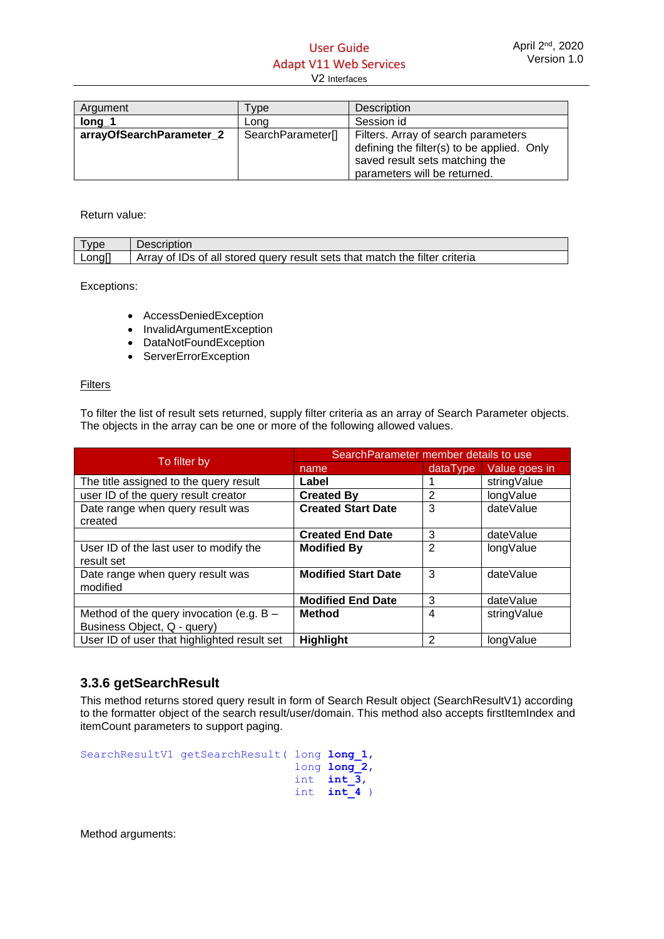# User Guide Adapt V11 Web Services

#### V2 Interfaces

| Argument                 | <b>vpe</b>        | <b>Description</b>                                                                                                                                  |
|--------------------------|-------------------|-----------------------------------------------------------------------------------------------------------------------------------------------------|
| $long_1$                 | Lona              | Session id                                                                                                                                          |
| arrayOfSearchParameter 2 | SearchParameter[] | Filters. Array of search parameters<br>defining the filter(s) to be applied. Only<br>saved result sets matching the<br>parameters will be returned. |

#### Return value:

| <b>vpe</b> | Description                                                                 |
|------------|-----------------------------------------------------------------------------|
| Long[      | Array of IDs of all stored query result sets that match the filter criteria |

Exceptions:

- AccessDeniedException
- InvalidArgumentException
- DataNotFoundException
- ServerErrorException

#### Filters

To filter the list of result sets returned, supply filter criteria as an array of Search Parameter objects. The objects in the array can be one or more of the following allowed values.

|                                             | Search Parameter member details to use |                |               |
|---------------------------------------------|----------------------------------------|----------------|---------------|
| To filter by                                | name                                   | dataType       | Value goes in |
| The title assigned to the query result      | Label                                  |                | stringValue   |
| user ID of the query result creator         | <b>Created By</b>                      | 2              | longValue     |
| Date range when query result was            | <b>Created Start Date</b>              | 3              | dateValue     |
| created                                     |                                        |                |               |
|                                             | <b>Created End Date</b>                | 3              | dateValue     |
| User ID of the last user to modify the      | <b>Modified By</b>                     | $\overline{2}$ | longValue     |
| result set                                  |                                        |                |               |
| Date range when query result was            | <b>Modified Start Date</b>             | 3              | dateValue     |
| modified                                    |                                        |                |               |
|                                             | <b>Modified End Date</b>               | 3              | dateValue     |
| Method of the query invocation (e.g. $B -$  | Method                                 | 4              | stringValue   |
| Business Object, Q - query)                 |                                        |                |               |
| User ID of user that highlighted result set | <b>Highlight</b>                       | 2              | longValue     |

# <span id="page-20-0"></span>**3.3.6 getSearchResult**

This method returns stored query result in form of Search Result object (SearchResultV1) according to the formatter object of the search result/user/domain. This method also accepts firstItemIndex and itemCount parameters to support paging.

```
SearchResultV1 getSearchResult( long long_1, 
                                       long long_2, 
                                      int int \frac{1}{3},
                                      int \; int \; 4
```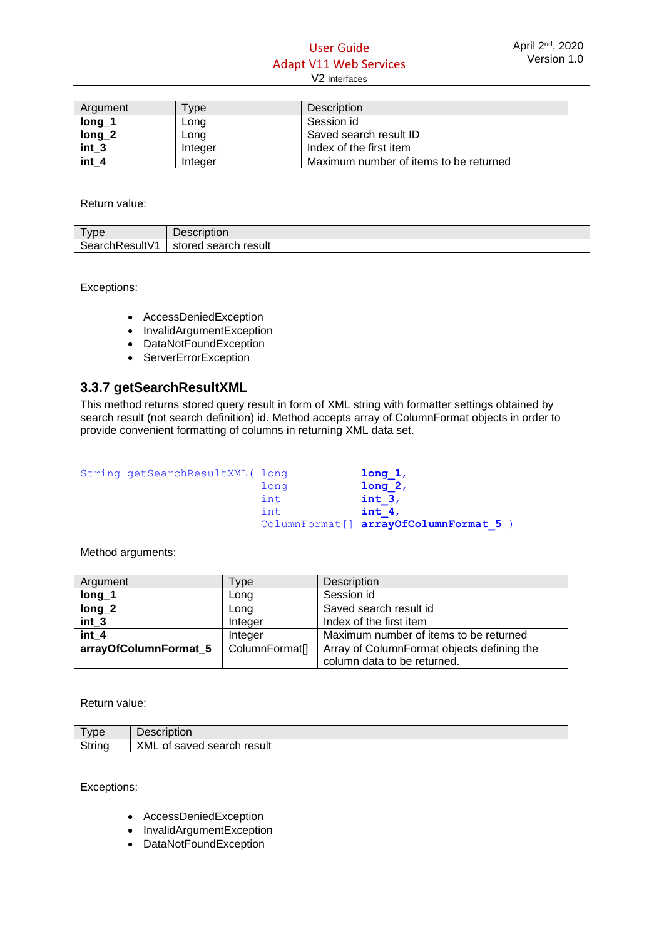# User Guide Adapt V11 Web Services V2 Interfaces

| Argument | vpe <sup>-</sup> | <b>Description</b>                     |
|----------|------------------|----------------------------------------|
| long     | ∟ong             | Session id                             |
| $long_2$ | ∟ong             | Saved search result ID                 |
| int 3    | Integer          | Index of the first item                |
| int 4    | Integer          | Maximum number of items to be returned |

Return value:

| --<br>vpe              | -<br>$+ - - -$<br>- - - - -<br>Description |
|------------------------|--------------------------------------------|
| 141/4<br>SearchResultV | result<br>search<br>stored                 |

Exceptions:

- AccessDeniedException
- InvalidArgumentException
- DataNotFoundException
- ServerErrorException

#### <span id="page-21-0"></span>**3.3.7 getSearchResultXML**

This method returns stored query result in form of XML string with formatter settings obtained by search result (not search definition) id. Method accepts array of ColumnFormat objects in order to provide convenient formatting of columns in returning XML data set.

String getSearchResultXML( long **long 1**,

long **long** 2,<br>int **int** 3, int **int 3**, int **int 4**, ColumnFormat[] **arrayOfColumnFormat\_5** )

Method arguments:

| Argument              | <b>Type</b>    | Description                                |
|-----------------------|----------------|--------------------------------------------|
| $long_1$              | Long           | Session id                                 |
| $long_2$              | Long           | Saved search result id                     |
| $int_3$               | Integer        | Index of the first item                    |
| int 4                 | Integer        | Maximum number of items to be returned     |
| arrayOfColumnFormat_5 | ColumnFormat[] | Array of ColumnFormat objects defining the |
|                       |                | column data to be returned.                |

Return value:

| <b>vpe</b> | Description                         |
|------------|-------------------------------------|
| String     | XML<br>result<br>search<br>of saved |

Exceptions:

- AccessDeniedException
- InvalidArgumentException
- DataNotFoundException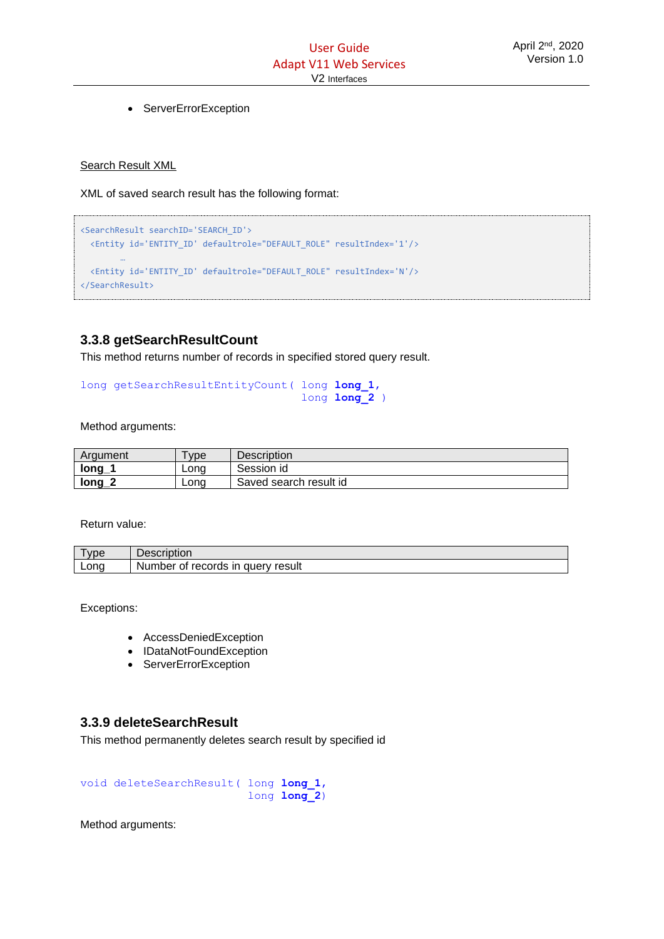• ServerErrorException

#### Search Result XML

XML of saved search result has the following format:

```
<SearchResult searchID='SEARCH_ID'>
  <Entity id='ENTITY_ID' defaultrole="DEFAULT_ROLE" resultIndex='1'/>
        …
  <Entity id='ENTITY_ID' defaultrole="DEFAULT_ROLE" resultIndex='N'/>
</SearchResult>
```
# <span id="page-22-0"></span>**3.3.8 getSearchResultCount**

This method returns number of records in specified stored query result.

```
long getSearchResultEntityCount( long long_1, 
                                    long long_2 )
```
Method arguments:

| Argument               | vpe  | <b>Description</b>     |
|------------------------|------|------------------------|
| $\mathsf{long}_-$      | Lona | Session id             |
| $\mathsf{long}_-$<br>n | Long | Saved search result id |

Return value:

| <b>vpe</b> | Description                                                  |
|------------|--------------------------------------------------------------|
| Long       | records<br>$\mathsf{I}$<br>, auerv<br>result<br>Number<br>ot |

Exceptions:

- AccessDeniedException
- IDataNotFoundException
- ServerErrorException

#### <span id="page-22-1"></span>**3.3.9 deleteSearchResult**

This method permanently deletes search result by specified id

void deleteSearchResult( long **long\_1**, long **long\_2**)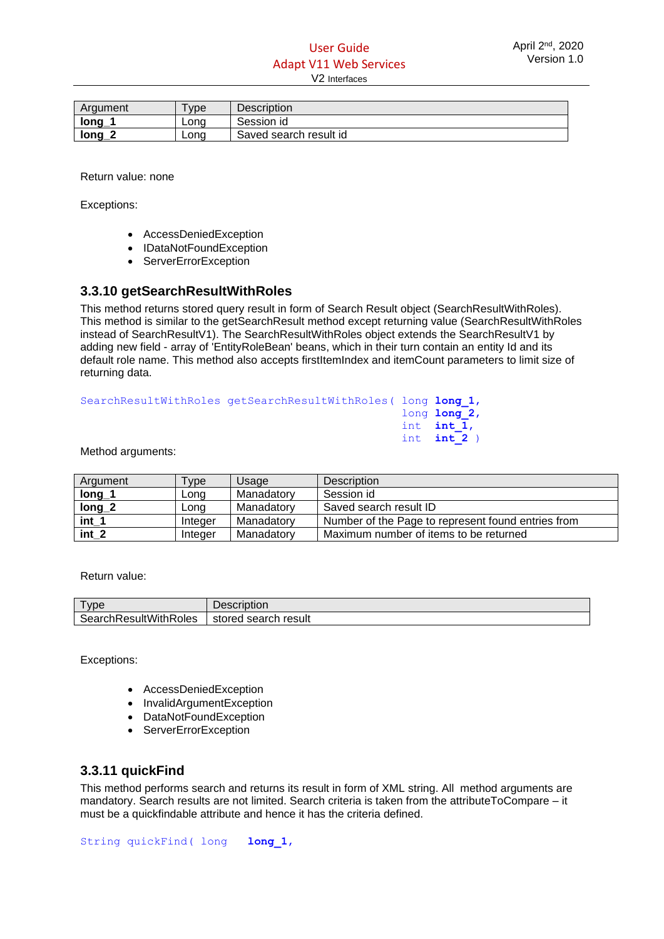| Argument            | vpe  | Description            |
|---------------------|------|------------------------|
| $\blacksquare$ long | Lona | Session id             |
| <u>long</u>         | Lona | Saved search result id |

Return value: none

Exceptions:

- AccessDeniedException
- IDataNotFoundException
- ServerErrorException

## <span id="page-23-0"></span>**3.3.10 getSearchResultWithRoles**

This method returns stored query result in form of Search Result object (SearchResultWithRoles). This method is similar to the getSearchResult method except returning value (SearchResultWithRoles instead of SearchResultV1). The SearchResultWithRoles object extends the SearchResultV1 by adding new field - array of 'EntityRoleBean' beans, which in their turn contain an entity Id and its default role name. This method also accepts firstItemIndex and itemCount parameters to limit size of returning data.

| SearchResultWithRoles getSearchResultWithRoles (long long 1, |               |
|--------------------------------------------------------------|---------------|
|                                                              | long long 2,  |
|                                                              | int $int 1$ , |
|                                                              | int $int 2$ ) |

#### Method arguments:

| Argument | $v_{\rm VDE}$ | Usage      | <b>Description</b>                                 |
|----------|---------------|------------|----------------------------------------------------|
| long     | Long          | Manadatory | Session id                                         |
| $long_2$ | Long          | Manadatory | Saved search result ID                             |
| int 1    | Integer       | Manadatory | Number of the Page to represent found entries from |
| int 2    | Integer       | Manadatory | Maximum number of items to be returned             |

Return value:

| ype                   | Description               |
|-----------------------|---------------------------|
| SearchResultWithRoles | l search result<br>stored |

Exceptions:

- AccessDeniedException
- InvalidArgumentException
- DataNotFoundException
- ServerErrorException

#### <span id="page-23-1"></span>**3.3.11 quickFind**

This method performs search and returns its result in form of XML string. All method arguments are mandatory. Search results are not limited. Search criteria is taken from the attributeToCompare – it must be a quickfindable attribute and hence it has the criteria defined.

String quickFind( long **long\_1**,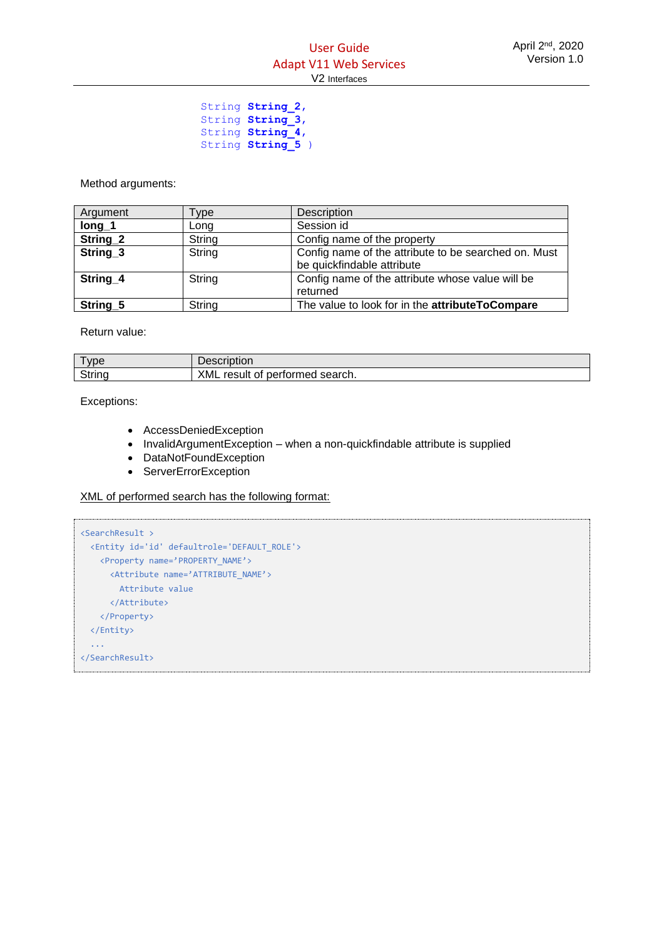String **String\_2**, string **String 3**, string **String 4**, String String 5 )

Method arguments:

| Argument            | Type   | Description                                          |
|---------------------|--------|------------------------------------------------------|
| $long_1$            | Long   | Session id                                           |
| String_2            | String | Config name of the property                          |
| String_3            | String | Config name of the attribute to be searched on. Must |
|                     |        | be quickfindable attribute                           |
| String_4            | String | Config name of the attribute whose value will be     |
|                     |        | returned                                             |
| String <sub>5</sub> | String | The value to look for in the attributeToCompare      |

Return value:

| vpe    | <b>Description</b>                          |
|--------|---------------------------------------------|
| String | XML<br>result<br>search.<br>performed<br>0t |

Exceptions:

- AccessDeniedException
- InvalidArgumentException when a non-quickfindable attribute is supplied
- DataNotFoundException
- ServerErrorException

XML of performed search has the following format:

```
<SearchResult >
  <Entity id='id' defaultrole='DEFAULT_ROLE'> 
   <Property name='PROPERTY_NAME'>
     <Attribute name='ATTRIBUTE_NAME'>
        Attribute value
      </Attribute>
    </Property>
  </Entity>
  ...
</SearchResult>
```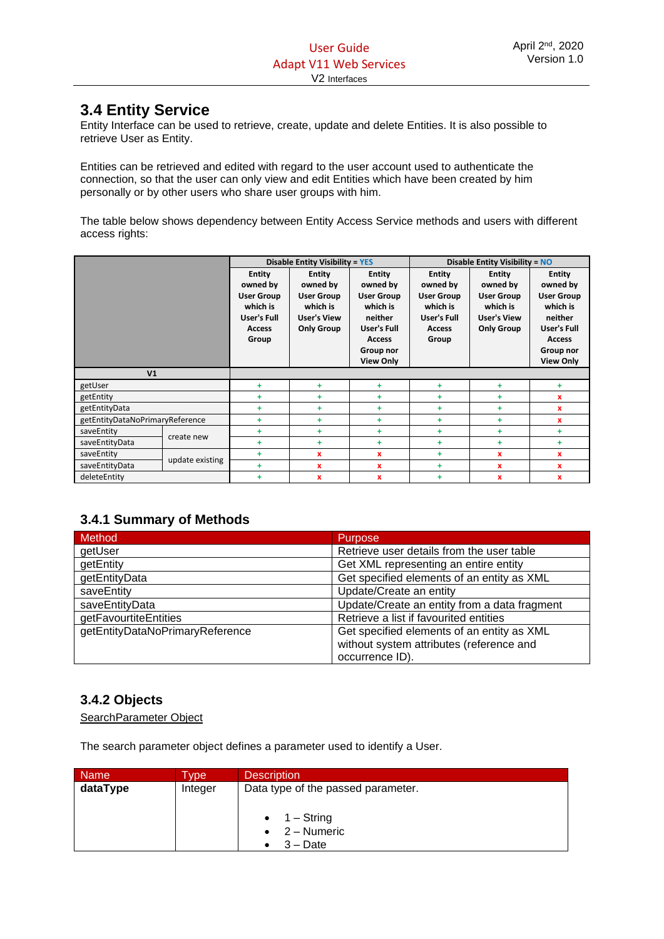# <span id="page-25-0"></span>**3.4 Entity Service**

Entity Interface can be used to retrieve, create, update and delete Entities. It is also possible to retrieve User as Entity.

Entities can be retrieved and edited with regard to the user account used to authenticate the connection, so that the user can only view and edit Entities which have been created by him personally or by other users who share user groups with him.

The table below shows dependency between Entity Access Service methods and users with different access rights:

|                                 |                 |                                                                                                     | <b>Disable Entity Visibility = YES</b>                                                                |                                                                                                                                        | Disable Entity Visibility = NO                                                                      |                                                                                                       |                                                                                                                                        |
|---------------------------------|-----------------|-----------------------------------------------------------------------------------------------------|-------------------------------------------------------------------------------------------------------|----------------------------------------------------------------------------------------------------------------------------------------|-----------------------------------------------------------------------------------------------------|-------------------------------------------------------------------------------------------------------|----------------------------------------------------------------------------------------------------------------------------------------|
|                                 |                 | <b>Entity</b><br>owned by<br><b>User Group</b><br>which is<br>User's Full<br><b>Access</b><br>Group | <b>Entity</b><br>owned by<br><b>User Group</b><br>which is<br><b>User's View</b><br><b>Only Group</b> | <b>Entity</b><br>owned by<br><b>User Group</b><br>which is<br>neither<br>User's Full<br><b>Access</b><br>Group nor<br><b>View Only</b> | <b>Entity</b><br>owned by<br><b>User Group</b><br>which is<br>User's Full<br><b>Access</b><br>Group | <b>Entity</b><br>owned by<br><b>User Group</b><br>which is<br><b>User's View</b><br><b>Only Group</b> | <b>Entity</b><br>owned by<br><b>User Group</b><br>which is<br>neither<br>User's Full<br><b>Access</b><br>Group nor<br><b>View Only</b> |
| V <sub>1</sub>                  |                 |                                                                                                     |                                                                                                       |                                                                                                                                        |                                                                                                     |                                                                                                       |                                                                                                                                        |
| getUser                         |                 | ÷                                                                                                   | ÷                                                                                                     | ÷                                                                                                                                      | ÷                                                                                                   | ÷                                                                                                     | ÷                                                                                                                                      |
| getEntity                       |                 | ÷                                                                                                   | ÷                                                                                                     | ÷                                                                                                                                      | ÷                                                                                                   | ÷                                                                                                     | $\mathbf x$                                                                                                                            |
| getEntityData                   |                 | ÷                                                                                                   | ÷                                                                                                     | ÷                                                                                                                                      | ÷                                                                                                   | ÷                                                                                                     | x                                                                                                                                      |
| getEntityDataNoPrimaryReference |                 | ÷                                                                                                   | ÷                                                                                                     | ÷                                                                                                                                      | ÷                                                                                                   | ÷                                                                                                     | $\mathbf x$                                                                                                                            |
| saveEntity                      | create new      | ÷                                                                                                   | ÷                                                                                                     | ÷.                                                                                                                                     | ÷.                                                                                                  | $+$                                                                                                   | ٠                                                                                                                                      |
| saveEntityData                  |                 | ÷                                                                                                   | ÷                                                                                                     | ÷.                                                                                                                                     | ÷                                                                                                   | ÷.                                                                                                    | ÷                                                                                                                                      |
| saveEntity                      |                 | ÷                                                                                                   | x                                                                                                     | $\mathbf{x}$                                                                                                                           | ÷.                                                                                                  | $\mathbf{x}$                                                                                          | x                                                                                                                                      |
| saveEntityData                  | update existing | ÷                                                                                                   | x                                                                                                     | $\mathbf{x}$                                                                                                                           | ÷                                                                                                   | $\mathbf{x}$                                                                                          | $\mathbf x$                                                                                                                            |
| deleteEntity                    |                 | ÷                                                                                                   | x                                                                                                     | x                                                                                                                                      | ÷.                                                                                                  | $\mathbf x$                                                                                           | x                                                                                                                                      |

# <span id="page-25-1"></span>**3.4.1 Summary of Methods**

| Method                          | <b>Purpose</b>                                                                         |
|---------------------------------|----------------------------------------------------------------------------------------|
| getUser                         | Retrieve user details from the user table                                              |
| getEntity                       | Get XML representing an entire entity                                                  |
| getEntityData                   | Get specified elements of an entity as XML                                             |
| saveEntity                      | Update/Create an entity                                                                |
| saveEntityData                  | Update/Create an entity from a data fragment                                           |
| getFavourtiteEntities           | Retrieve a list if favourited entities                                                 |
| getEntityDataNoPrimaryReference | Get specified elements of an entity as XML<br>without system attributes (reference and |
|                                 | occurrence ID).                                                                        |

# <span id="page-25-2"></span>**3.4.2 Objects**

SearchParameter Object

The search parameter object defines a parameter used to identify a User.

| <b>Name</b> | <b>VDe</b> | <b>Description</b>                 |
|-------------|------------|------------------------------------|
| dataType    | Integer    | Data type of the passed parameter. |
|             |            |                                    |
|             |            | $\bullet$ 1 – String               |
|             |            | $\bullet$ 2 – Numeric              |
|             |            | $3 - Date$                         |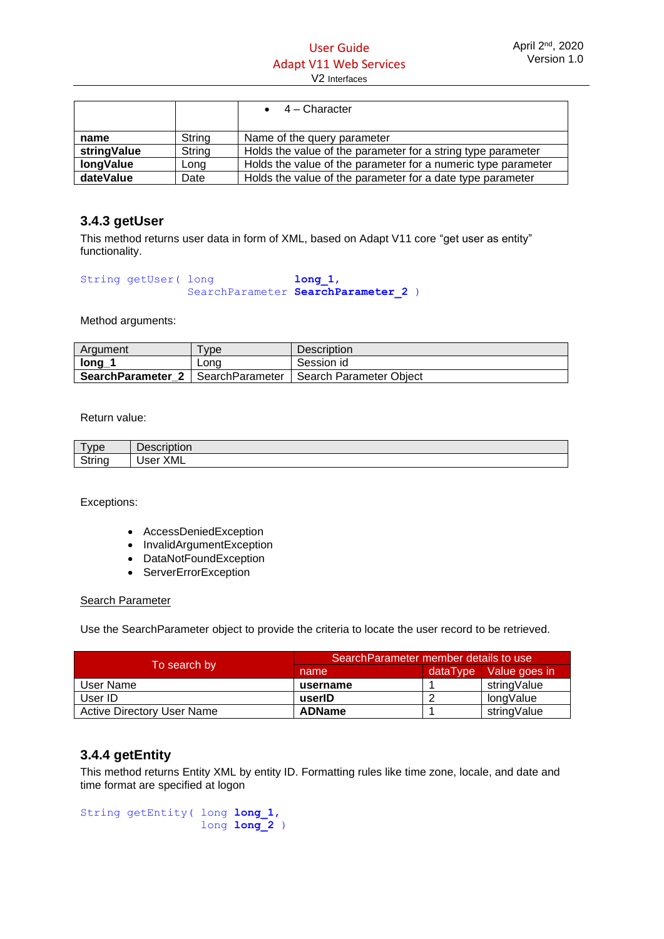|                  |        | $\bullet$ 4 – Character                                       |
|------------------|--------|---------------------------------------------------------------|
|                  |        |                                                               |
| name             | String | Name of the query parameter                                   |
| stringValue      | String | Holds the value of the parameter for a string type parameter  |
| <b>longValue</b> | Long   | Holds the value of the parameter for a numeric type parameter |
| dateValue        | Date   | Holds the value of the parameter for a date type parameter    |

# <span id="page-26-0"></span>**3.4.3 getUser**

This method returns user data in form of XML, based on Adapt V11 core "get user as entity" functionality.

```
String getUser( long long 1,
              SearchParameter SearchParameter 2 )
```
Method arguments:

| Argument          | <b>vpe</b>      | <b>Description</b>        |
|-------------------|-----------------|---------------------------|
| long_             | Lona            | Session id                |
| SearchParameter 2 | SearchParameter | I Search Parameter Obiect |

Return value:

| <b>vpe</b> | Description |
|------------|-------------|
| String     | <b>XML</b>  |
| . .        | User        |

Exceptions:

- AccessDeniedException
- InvalidArgumentException
- DataNotFoundException
- ServerErrorException

Search Parameter

Use the SearchParameter object to provide the criteria to locate the user record to be retrieved.

|                                   | Search Parameter member details to use |          |               |
|-----------------------------------|----------------------------------------|----------|---------------|
| To search by                      | name                                   | dataTvpe | Value goes in |
| User Name                         | username                               |          | stringValue   |
| User ID                           | userID                                 |          | longValue     |
| <b>Active Directory User Name</b> | <b>ADName</b>                          |          | stringValue   |

# <span id="page-26-1"></span>**3.4.4 getEntity**

This method returns Entity XML by entity ID. Formatting rules like time zone, locale, and date and time format are specified at logon

```
String getEntity( long long_1, 
                    long long_2 )
```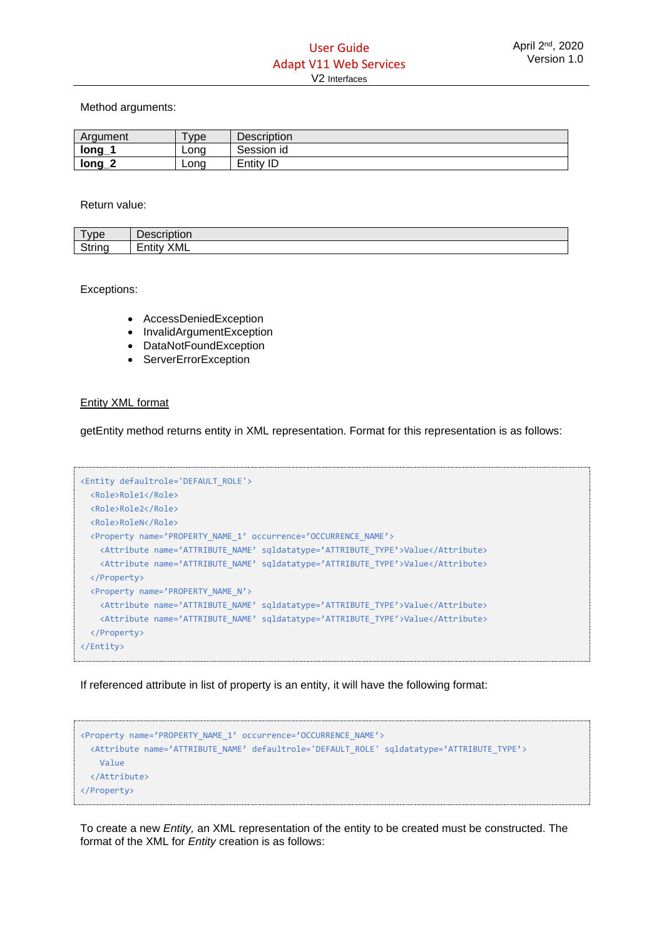Method arguments:

| Argument                         | vpe  | Description |
|----------------------------------|------|-------------|
| long                             | Lona | Session id  |
| $\overline{\phantom{a}}$<br>long | Long | Entity ID   |

Return value:

| vpe         | Description               |
|-------------|---------------------------|
| String<br>. | <b>XML</b><br>.<br>Entity |

Exceptions:

- AccessDeniedException
- InvalidArgumentException
- DataNotFoundException
- ServerErrorException

#### Entity XML format

getEntity method returns entity in XML representation. Format for this representation is as follows:

```
<Entity defaultrole='DEFAULT_ROLE'>
  <Role>Role1</Role>
  <Role>Role2</Role>
  <Role>RoleN</Role>
  <Property name='PROPERTY_NAME_1' occurrence='OCCURRENCE_NAME'>
    <Attribute name='ATTRIBUTE_NAME' sqldatatype='ATTRIBUTE_TYPE'>Value</Attribute>
    <Attribute name='ATTRIBUTE_NAME' sqldatatype='ATTRIBUTE_TYPE'>Value</Attribute>
  </Property>
  <Property name='PROPERTY_NAME_N'>
     <Attribute name='ATTRIBUTE_NAME' sqldatatype='ATTRIBUTE_TYPE'>Value</Attribute>
    <Attribute name='ATTRIBUTE_NAME' sqldatatype='ATTRIBUTE_TYPE'>Value</Attribute>
  </Property>
</Entity>
```
If referenced attribute in list of property is an entity, it will have the following format:

```
<Property name='PROPERTY_NAME_1' occurrence='OCCURRENCE_NAME'>
  <Attribute name='ATTRIBUTE_NAME' defaultrole='DEFAULT_ROLE' sqldatatype='ATTRIBUTE_TYPE'>
    Value
  </Attribute>
</Property>
```
To create a new *Entity,* an XML representation of the entity to be created must be constructed. The format of the XML for *Entity* creation is as follows: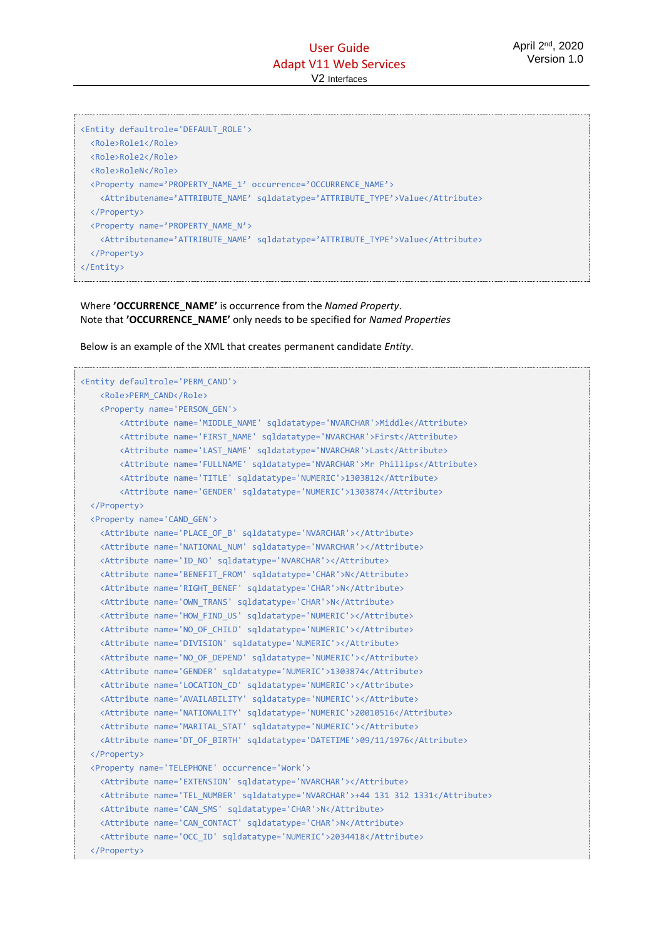| <entity defaultrole="DEFAULT ROLE"></entity>                                                     |
|--------------------------------------------------------------------------------------------------|
| <role>Role1</role>                                                                               |
| <role>Role2</role>                                                                               |
| <role>RoleN</role>                                                                               |
| <property name="PROPERTY_NAME_1" occurrence="OCCURRENCE_NAME"></property>                        |
| <attributename='attribute name'="" sqldatatype="ATTRIBUTE TYPE">Value</attributename='attribute> |
|                                                                                                  |
| <property name="PROPERTY NAME N"></property>                                                     |
| <attributename='attribute name'="" sqldatatype="ATTRIBUTE TYPE">Value</attributename='attribute> |
|                                                                                                  |
| $\langle$ /Entity>                                                                               |

#### Where **'OCCURRENCE\_NAME'** is occurrence from the *Named Property*. Note that **'OCCURRENCE\_NAME'** only needs to be specified for *Named Properties*

Below is an example of the XML that creates permanent candidate *Entity*.

```
<Entity defaultrole='PERM_CAND'>
    <Role>PERM_CAND</Role>
    <Property name='PERSON_GEN'>
        <Attribute name='MIDDLE_NAME' sqldatatype='NVARCHAR'>Middle</Attribute>
         <Attribute name='FIRST_NAME' sqldatatype='NVARCHAR'>First</Attribute>
         <Attribute name='LAST_NAME' sqldatatype='NVARCHAR'>Last</Attribute>
         <Attribute name='FULLNAME' sqldatatype='NVARCHAR'>Mr Phillips</Attribute>
        <Attribute name='TITLE' sqldatatype='NUMERIC'>1303812</Attribute>
         <Attribute name='GENDER' sqldatatype='NUMERIC'>1303874</Attribute>
  </Property>
  <Property name='CAND_GEN'>
    <Attribute name='PLACE_OF_B' sqldatatype='NVARCHAR'></Attribute>
    <Attribute name='NATIONAL_NUM' sqldatatype='NVARCHAR'></Attribute>
    <Attribute name='ID_NO' sqldatatype='NVARCHAR'></Attribute>
    <Attribute name='BENEFIT_FROM' sqldatatype='CHAR'>N</Attribute>
    <Attribute name='RIGHT_BENEF' sqldatatype='CHAR'>N</Attribute>
    <Attribute name='OWN_TRANS' sqldatatype='CHAR'>N</Attribute>
    <Attribute name='HOW_FIND_US' sqldatatype='NUMERIC'></Attribute>
    <Attribute name='NO_OF_CHILD' sqldatatype='NUMERIC'></Attribute>
    <Attribute name='DIVISION' sqldatatype='NUMERIC'></Attribute>
    <Attribute name='NO_OF_DEPEND' sqldatatype='NUMERIC'></Attribute>
    <Attribute name='GENDER' sqldatatype='NUMERIC'>1303874</Attribute>
    <Attribute name='LOCATION_CD' sqldatatype='NUMERIC'></Attribute>
    <Attribute name='AVAILABILITY' sqldatatype='NUMERIC'></Attribute>
    <Attribute name='NATIONALITY' sqldatatype='NUMERIC'>20010516</Attribute>
    <Attribute name='MARITAL_STAT' sqldatatype='NUMERIC'></Attribute>
    <Attribute name='DT_OF_BIRTH' sqldatatype='DATETIME'>09/11/1976</Attribute>
  </Property>
  <Property name='TELEPHONE' occurrence='Work'>
    <Attribute name='EXTENSION' sqldatatype='NVARCHAR'></Attribute>
    <Attribute name='TEL_NUMBER' sqldatatype='NVARCHAR'>+44 131 312 1331</Attribute>
    <Attribute name='CAN_SMS' sqldatatype='CHAR'>N</Attribute>
    <Attribute name='CAN_CONTACT' sqldatatype='CHAR'>N</Attribute>
    <Attribute name='OCC_ID' sqldatatype='NUMERIC'>2034418</Attribute>
  </Property>
```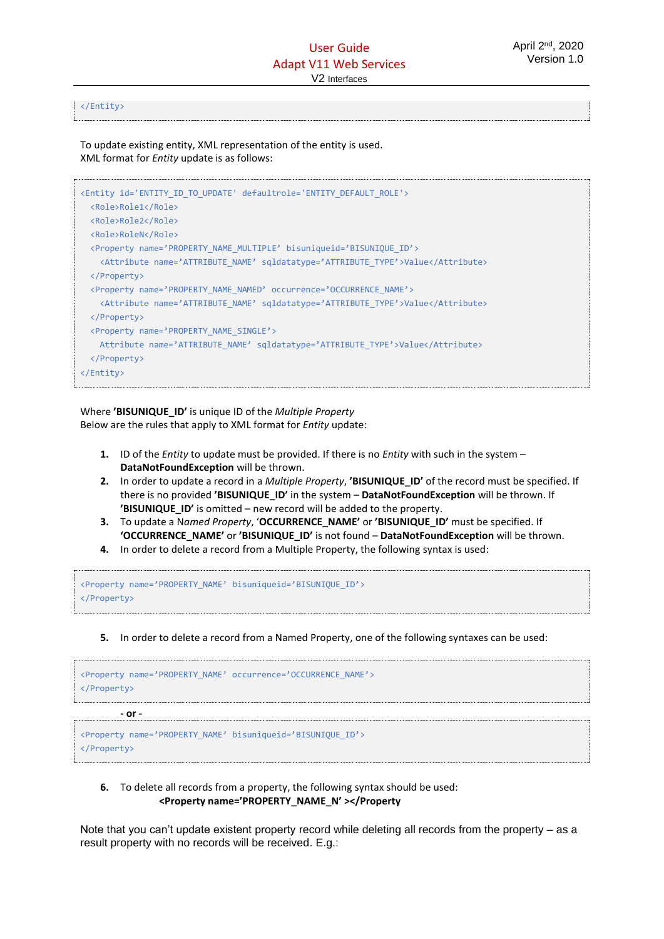#### </Entity>

To update existing entity, XML representation of the entity is used. XML format for *Entity* update is as follows:

| <entity defaultrole="ENTITY DEFAULT ROLE" id="ENTITY ID TO UPDATE"></entity>    |
|---------------------------------------------------------------------------------|
| <role>Role1</role>                                                              |
| <role>Role2</role>                                                              |
| <role>RoleN</role>                                                              |
| <property bisuniqueid="BISUNIQUE ID" name="PROPERTY NAME MULTIPLE"></property>  |
| <attribute name="ATTRIBUTE NAME" sqldatatype="ATTRIBUTE TYPE">Value</attribute> |
|                                                                                 |
| <property name="PROPERTY NAME NAMED" occurrence="OCCURRENCE NAME"></property>   |
| <attribute name="ATTRIBUTE NAME" sqldatatype="ATTRIBUTE TYPE">Value</attribute> |
|                                                                                 |
| <property name="PROPERTY NAME SINGLE"></property>                               |
| Attribute name='ATTRIBUTE NAME' sqldatatype='ATTRIBUTE TYPE'>Value              |
|                                                                                 |
| $\langle$ /Entity>                                                              |
|                                                                                 |

Where **'BISUNIQUE\_ID'** is unique ID of the *Multiple Property* Below are the rules that apply to XML format for *Entity* update:

- **1.** ID of the *Entity* to update must be provided. If there is no *Entity* with such in the system **DataNotFoundException** will be thrown.
- **2.** In order to update a record in a *Multiple Property*, **'BISUNIQUE\_ID'** of the record must be specified. If there is no provided **'BISUNIQUE\_ID'** in the system – **DataNotFoundException** will be thrown. If **'BISUNIQUE ID'** is omitted – new record will be added to the property.
- **3.** To update a N*amed Property*, '**OCCURRENCE\_NAME'** or **'BISUNIQUE\_ID'** must be specified. If **'OCCURRENCE\_NAME'** or **'BISUNIQUE\_ID'** is not found – **DataNotFoundException** will be thrown.
- **4.** In order to delete a record from a Multiple Property, the following syntax is used:

```
<Property name='PROPERTY_NAME' bisuniqueid='BISUNIQUE_ID'>
</Property>
```
**5.** In order to delete a record from a Named Property, one of the following syntaxes can be used:

| <property name="PROPERTY NAME" occurrence="OCCURRENCE NAME"><br/><math>\langle</math>/Property&gt;</property> |  |
|---------------------------------------------------------------------------------------------------------------|--|
| - or -                                                                                                        |  |

<Property name='PROPERTY\_NAME' bisuniqueid='BISUNIQUE\_ID'> </Property>

**6.** To delete all records from a property, the following syntax should be used: **<Property name='PROPERTY\_NAME\_N' ></Property**

Note that you can't update existent property record while deleting all records from the property – as a result property with no records will be received. E.g.: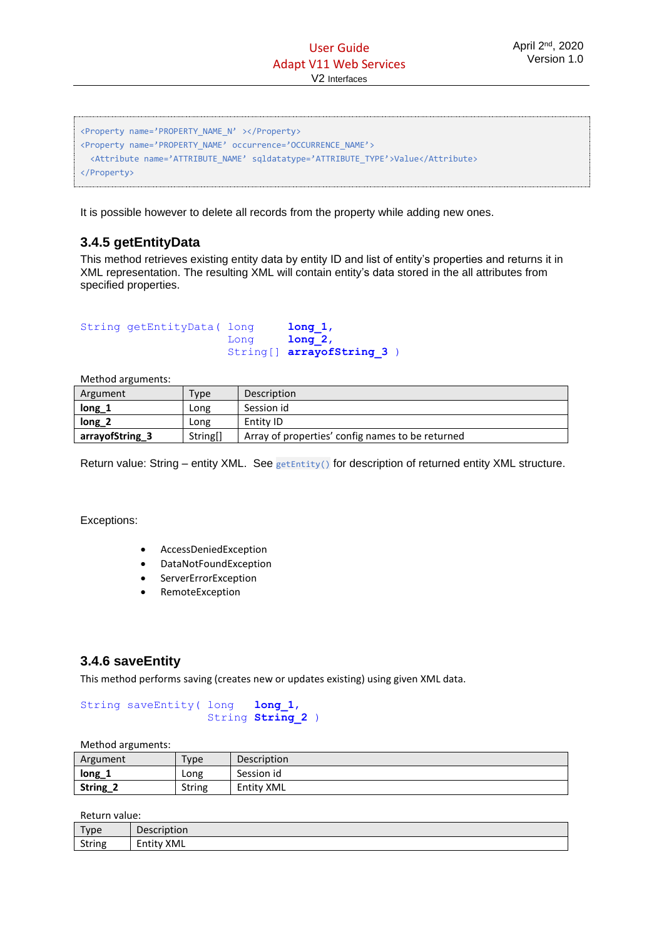```
<Property name='PROPERTY_NAME_N' ></Property>
<Property name='PROPERTY_NAME' occurrence='OCCURRENCE_NAME'>
  <Attribute name='ATTRIBUTE_NAME' sqldatatype='ATTRIBUTE_TYPE'>Value</Attribute>
</Property>
```
It is possible however to delete all records from the property while adding new ones.

# <span id="page-30-0"></span>**3.4.5 getEntityData**

This method retrieves existing entity data by entity ID and list of entity's properties and returns it in XML representation. The resulting XML will contain entity's data stored in the all attributes from specified properties.

| String getEntityData ( long |      | long 1,                   |
|-----------------------------|------|---------------------------|
|                             | Lona | $1$ ong $2$ ,             |
|                             |      | String[] arrayofString 3) |

Method arguments:

| Argument        | $_{\text{Type}}$ | Description                                      |
|-----------------|------------------|--------------------------------------------------|
| $long_1$        | Long             | Session id                                       |
| $long_2$        | Long             | Entity ID                                        |
| arrayofString_3 | String[]         | Array of properties' config names to be returned |

Return value: String – entity XML. See getEntity() for description of returned entity XML structure.

Exceptions:

- AccessDeniedException
- DataNotFoundException
- ServerErrorException
- RemoteException

# <span id="page-30-1"></span>**3.4.6 saveEntity**

This method performs saving (creates new or updates existing) using given XML data.

String saveEntity( long **long\_1**, String **String\_2** )

Method arguments:

| Argument | $T$ <sub>V</sub> $pe$ | <b>Description</b> |
|----------|-----------------------|--------------------|
| $long_1$ | Long                  | Session id         |
| String_2 | <b>String</b>         | <b>Entity XML</b>  |

Return value:

| Type   | Description               |
|--------|---------------------------|
| String | XML<br>.<br><b>Entity</b> |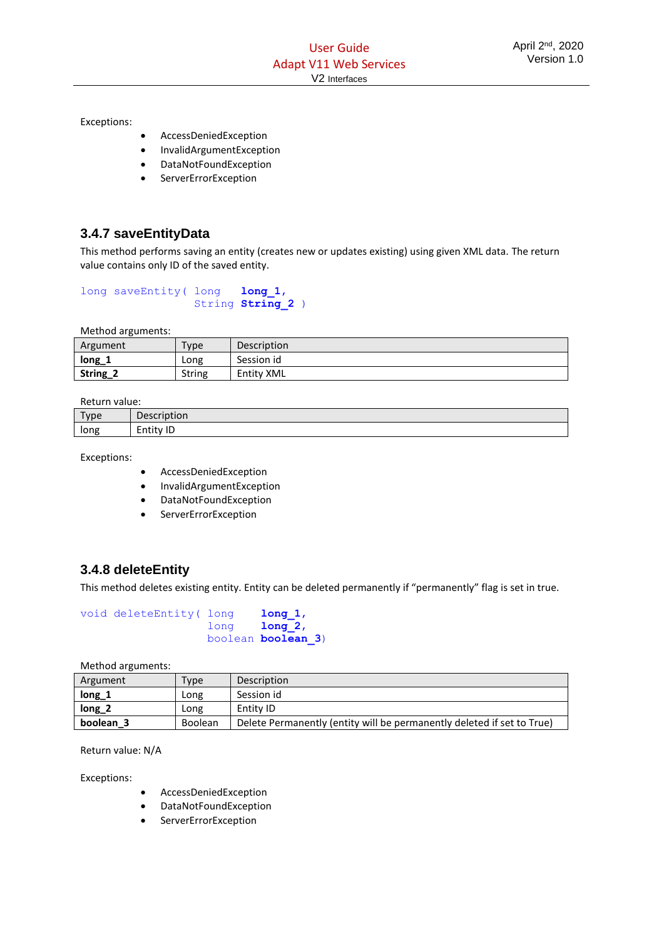Exceptions:

- AccessDeniedException
- InvalidArgumentException
- DataNotFoundException
- **ServerErrorException**

# <span id="page-31-0"></span>**3.4.7 saveEntityData**

This method performs saving an entity (creates new or updates existing) using given XML data. The return value contains only ID of the saved entity.

```
long saveEntity( long long 1,
                  String String_2 )
```
Method arguments:

| Argument | Type   | Description |
|----------|--------|-------------|
| $long_1$ | Long   | Session id  |
| String_2 | String | Entity XML  |

Return value:

| Type<br>. . | Description            |
|-------------|------------------------|
| long        | ID<br>-<br>.<br>Entity |

Exceptions:

- AccessDeniedException
- InvalidArgumentException
- DataNotFoundException
- ServerErrorException

# <span id="page-31-1"></span>**3.4.8 deleteEntity**

This method deletes existing entity. Entity can be deleted permanently if "permanently" flag is set in true.

| void deleteEntity( long | long 1,                    |  |
|-------------------------|----------------------------|--|
|                         | $long$ $long$ $2,$         |  |
|                         | boolean <b>boolean 3</b> ) |  |

Method arguments:

| Argument          | $v$ pe  | Description                                                            |
|-------------------|---------|------------------------------------------------------------------------|
| $long_1$          | LONG    | Session id                                                             |
| long <sub>2</sub> | LONG    | Entity ID                                                              |
| boolean 3         | Boolean | Delete Permanently (entity will be permanently deleted if set to True) |

Return value: N/A

Exceptions:

- AccessDeniedException
- DataNotFoundException
- ServerErrorException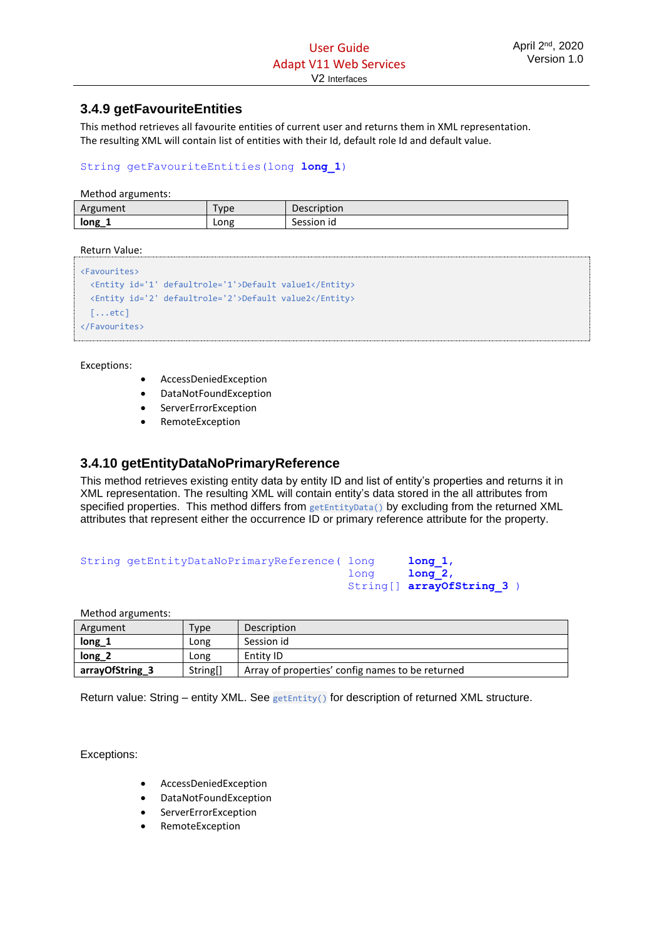# <span id="page-32-0"></span>**3.4.9 getFavouriteEntities**

This method retrieves all favourite entities of current user and returns them in XML representation. The resulting XML will contain list of entities with their Id, default role Id and default value.

String getFavouriteEntities(long **long\_1**)

Method arguments:

| ັ        |                  |             |
|----------|------------------|-------------|
| Argument | vpe <sup>-</sup> | Description |
| long_    | Long             | Session id  |

Return Value:

```
<Favourites>
  <Entity id='1' defaultrole='1'>Default value1</Entity>
  <Entity id='2' defaultrole='2'>Default value2</Entity>
   [...etc]
</Favourites>
```
Exceptions:

- AccessDeniedException
- DataNotFoundException
- **ServerErrorException**
- RemoteException

# <span id="page-32-1"></span>**3.4.10 getEntityDataNoPrimaryReference**

This method retrieves existing entity data by entity ID and list of entity's properties and returns it in XML representation. The resulting XML will contain entity's data stored in the all attributes from specified properties. This method differs from getEntityData() by excluding from the returned XML attributes that represent either the occurrence ID or primary reference attribute for the property.

```
String getEntityDataNoPrimaryReference( long long 1,
                                       long long_2,
                                      String[] arrayOfString 3 )
```
Method arguments:

| Argument          | Type     | Description                                      |
|-------------------|----------|--------------------------------------------------|
| $long_1$          | Long     | Session id                                       |
| long <sub>2</sub> | Long     | Entity ID                                        |
| arrayOfString_3   | String[] | Array of properties' config names to be returned |

Return value: String – entity XML. See getEntity() for description of returned XML structure.

Exceptions:

- AccessDeniedException
- DataNotFoundException
- **ServerErrorException**
- RemoteException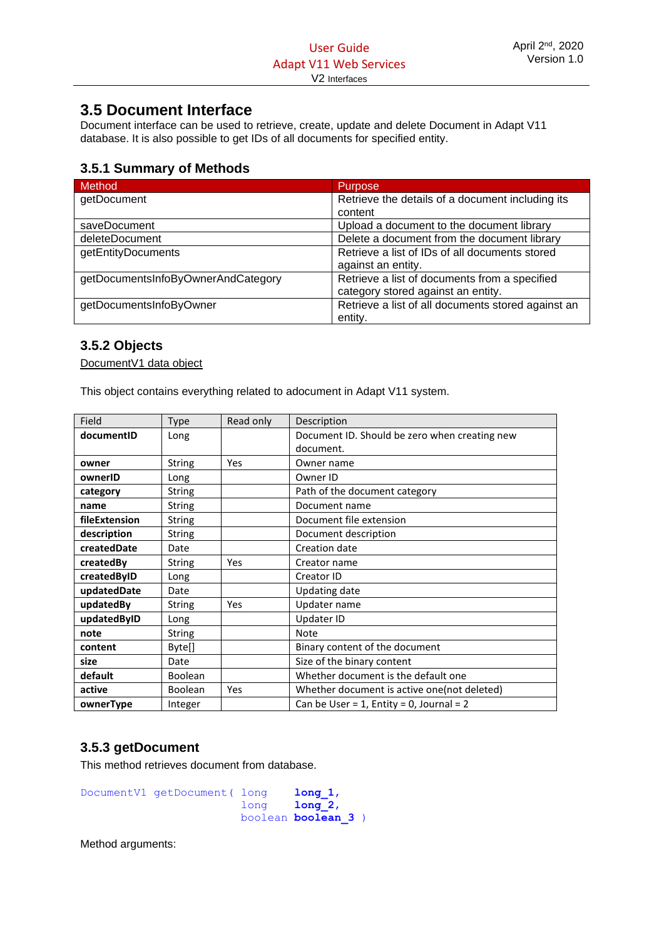# <span id="page-33-0"></span>**3.5 Document Interface**

Document interface can be used to retrieve, create, update and delete Document in Adapt V11 database. It is also possible to get IDs of all documents for specified entity.

# <span id="page-33-1"></span>**3.5.1 Summary of Methods**

| Method                             | <b>Purpose</b>                                     |
|------------------------------------|----------------------------------------------------|
| getDocument                        | Retrieve the details of a document including its   |
|                                    | content                                            |
| saveDocument                       | Upload a document to the document library          |
| deleteDocument                     | Delete a document from the document library        |
| getEntityDocuments                 | Retrieve a list of IDs of all documents stored     |
|                                    | against an entity.                                 |
| getDocumentsInfoByOwnerAndCategory | Retrieve a list of documents from a specified      |
|                                    | category stored against an entity.                 |
| getDocumentsInfoByOwner            | Retrieve a list of all documents stored against an |
|                                    | entity.                                            |

# <span id="page-33-2"></span>**3.5.2 Objects**

DocumentV1 data object

This object contains everything related to adocument in Adapt V11 system.

| Field         | Type           | Read only | Description                                   |
|---------------|----------------|-----------|-----------------------------------------------|
| documentID    | Long           |           | Document ID. Should be zero when creating new |
|               |                |           | document.                                     |
| owner         | <b>String</b>  | Yes       | Owner name                                    |
| ownerID       | Long           |           | Owner ID                                      |
| category      | <b>String</b>  |           | Path of the document category                 |
| name          | <b>String</b>  |           | Document name                                 |
| fileExtension | <b>String</b>  |           | Document file extension                       |
| description   | <b>String</b>  |           | Document description                          |
| createdDate   | Date           |           | Creation date                                 |
| createdBy     | <b>String</b>  | Yes       | Creator name                                  |
| createdByID   | Long           |           | Creator ID                                    |
| updatedDate   | Date           |           | Updating date                                 |
| updatedBy     | <b>String</b>  | Yes       | Updater name                                  |
| updatedByID   | Long           |           | Updater ID                                    |
| note          | <b>String</b>  |           | Note                                          |
| content       | Byte[]         |           | Binary content of the document                |
| size          | Date           |           | Size of the binary content                    |
| default       | <b>Boolean</b> |           | Whether document is the default one           |
| active        | <b>Boolean</b> | Yes       | Whether document is active one (not deleted)  |
| ownerType     | Integer        |           | Can be User = $1$ , Entity = 0, Journal = 2   |

# <span id="page-33-3"></span>**3.5.3 getDocument**

This method retrieves document from database.

```
DocumentV1 getDocument( long long 1,
                      long long_2, 
                      boolean boolean_3 )
```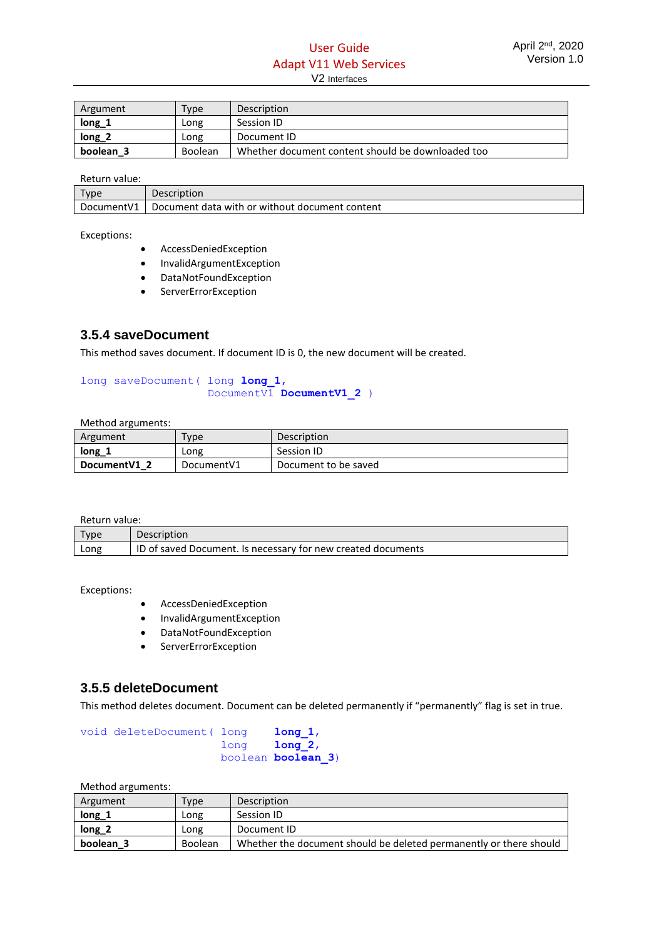# User Guide Adapt V11 Web Services V2 Interfaces

| Argument          | Type           | Description                                       |
|-------------------|----------------|---------------------------------------------------|
| $long_1$          | Long           | Session ID                                        |
| long <sub>2</sub> | Long           | Document ID                                       |
| boolean 3         | <b>Boolean</b> | Whether document content should be downloaded too |

#### Return value:

| Type        | <b>Description</b>                             |
|-------------|------------------------------------------------|
| Document V1 | Document data with or without document content |

Exceptions:

- AccessDeniedException
- InvalidArgumentException
- DataNotFoundException
- ServerErrorException

## <span id="page-34-0"></span>**3.5.4 saveDocument**

This method saves document. If document ID is 0, the new document will be created.

#### long saveDocument( long **long\_1**, DocumentV1 **DocumentV1\_2** )

Method arguments:

| Argument      | Type        | <b>Description</b>   |
|---------------|-------------|----------------------|
| long          | Long        | Session ID           |
| Document V1 2 | Document V1 | Document to be saved |

Return value:

| .                  |                                                              |
|--------------------|--------------------------------------------------------------|
| $_{\texttt{Tvpe}}$ | <b>Description</b>                                           |
| Long               | ID of saved Document. Is necessary for new created documents |

Exceptions:

- AccessDeniedException
- InvalidArgumentException
- DataNotFoundException
- ServerErrorException

#### <span id="page-34-1"></span>**3.5.5 deleteDocument**

This method deletes document. Document can be deleted permanently if "permanently" flag is set in true.

void deleteDocument( long **long\_1**, long **long\_2**, boolean **boolean\_3**)

| Argument          | Type           | <b>Description</b>                                                 |
|-------------------|----------------|--------------------------------------------------------------------|
| $long_1$          | Long           | Session ID                                                         |
| long <sub>2</sub> | Long           | Document ID                                                        |
| boolean 3         | <b>Boolean</b> | Whether the document should be deleted permanently or there should |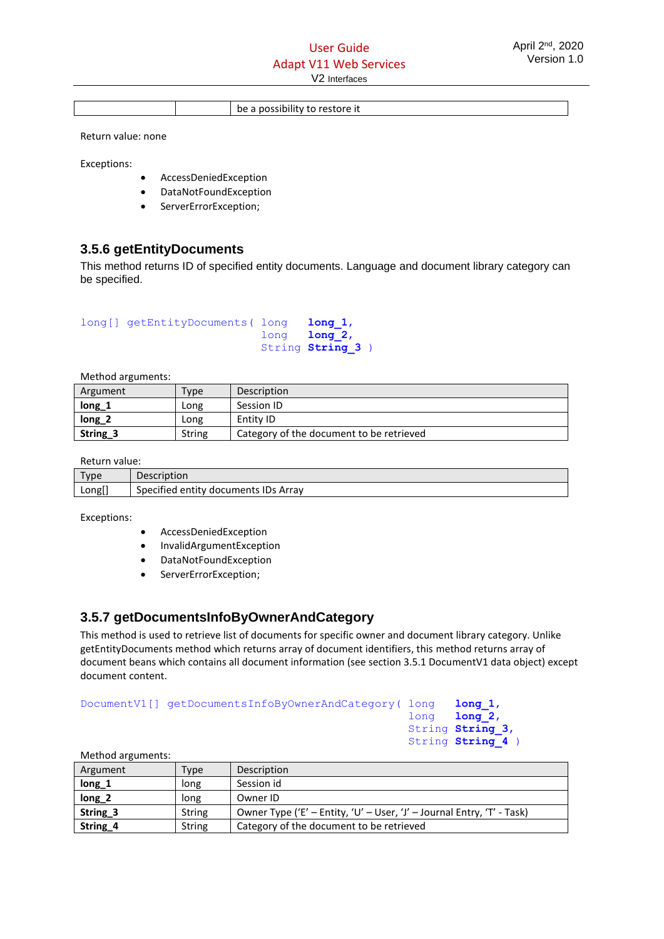be a possibility to restore it

Return value: none

Exceptions:

- AccessDeniedException
- DataNotFoundException
- ServerErrorException;

## <span id="page-35-0"></span>**3.5.6 getEntityDocuments**

This method returns ID of specified entity documents. Language and document library category can be specified.

```
long[] getEntityDocuments( long long_1, 
                            long long_2, 
                            String String_3 )
```
Method arguments:

| Argument | Type          | Description                              |
|----------|---------------|------------------------------------------|
| long_1   | Long          | Session ID                               |
| $long_2$ | Long          | Entity ID                                |
| String_3 | <b>String</b> | Category of the document to be retrieved |

Return value:

| Type   | Description                          |
|--------|--------------------------------------|
| Long[] | Specified entity documents IDs Array |

Exceptions:

- AccessDeniedException
- InvalidArgumentException
- DataNotFoundException
- ServerErrorException;

# <span id="page-35-1"></span>**3.5.7 getDocumentsInfoByOwnerAndCategory**

This method is used to retrieve list of documents for specific owner and document library category. Unlike getEntityDocuments method which returns array of document identifiers, this method returns array of document beans which contains all document information (see section 3.5.1 DocumentV1 data object) except document content.

```
DocumentV1[] getDocumentsInfoByOwnerAndCategory( long long_1,
```

| TOHA | $\text{Long }$ .   |
|------|--------------------|
|      | $long$ $long$ $2,$ |
|      | String String 3,   |
|      | String String 4    |

| Method arguments:   |        |                                                                        |
|---------------------|--------|------------------------------------------------------------------------|
| Argument            | Type   | Description                                                            |
| $long_1$            | long   | Session id                                                             |
| $long_2$            | long   | Owner ID                                                               |
| String <sub>3</sub> | String | Owner Type ('E' - Entity, 'U' - User, 'J' - Journal Entry, 'T' - Task) |
| String <sub>4</sub> | String | Category of the document to be retrieved                               |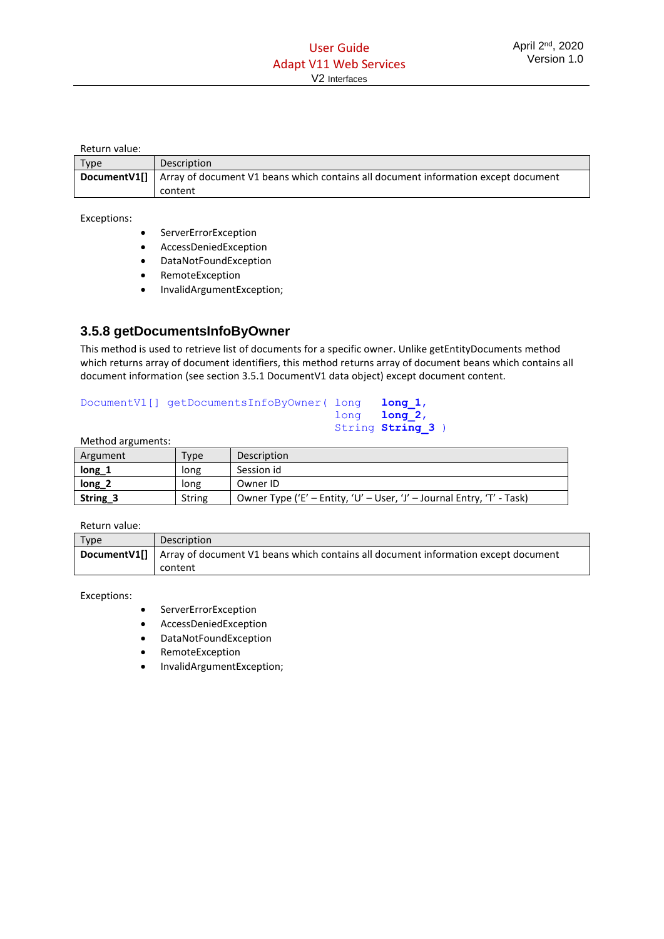#### Return value:

| Type | <b>Description</b>                                                                                     |
|------|--------------------------------------------------------------------------------------------------------|
|      | <b>DocumentV1[]</b> Array of document V1 beans which contains all document information except document |
|      | content                                                                                                |

#### Exceptions:

- ServerErrorException
- AccessDeniedException
- DataNotFoundException
- RemoteException
- InvalidArgumentException;

# <span id="page-36-0"></span>**3.5.8 getDocumentsInfoByOwner**

This method is used to retrieve list of documents for a specific owner. Unlike getEntityDocuments method which returns array of document identifiers, this method returns array of document beans which contains all document information (see section 3.5.1 DocumentV1 data object) except document content.

#### DocumentV1[] getDocumentsInfoByOwner( long **long** 1, long **long\_2**, String **String 3** )

|  | Method arguments: |
|--|-------------------|
|--|-------------------|

| Argument | Type          | Description                                                            |
|----------|---------------|------------------------------------------------------------------------|
| long_1   | long          | Session id                                                             |
| $long_2$ | long          | Owner ID                                                               |
| String 3 | <b>String</b> | Owner Type ('E' - Entity, 'U' - User, 'J' - Journal Entry, 'T' - Task) |

#### Return value:

| Type | Description                                                                                            |
|------|--------------------------------------------------------------------------------------------------------|
|      | <b>DocumentV1[]</b> Array of document V1 beans which contains all document information except document |
|      | content                                                                                                |

#### Exceptions:

- **ServerErrorException**
- AccessDeniedException
- DataNotFoundException
- RemoteException
- InvalidArgumentException;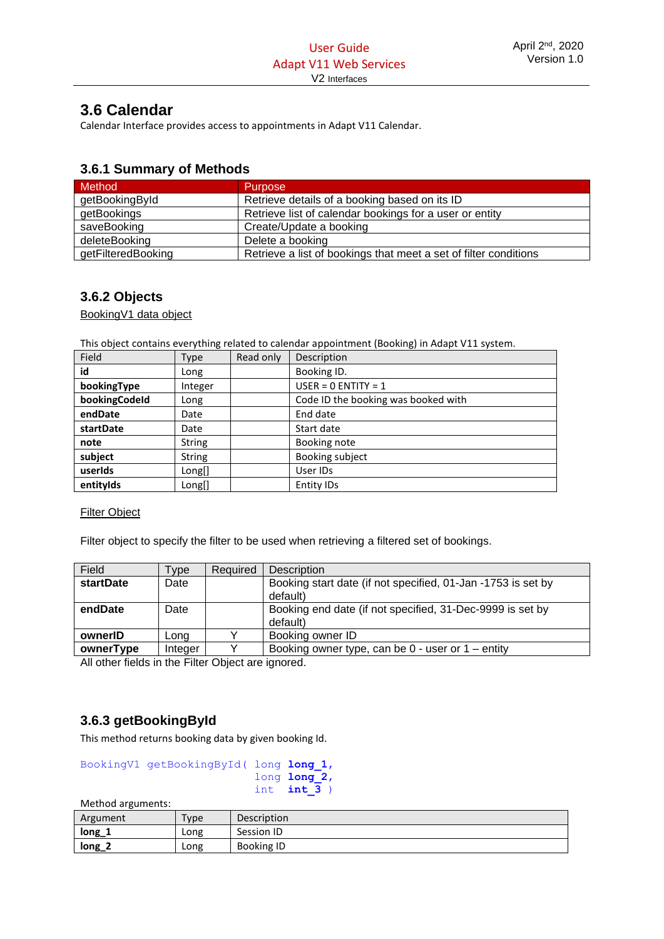# <span id="page-37-0"></span>**3.6 Calendar**

Calendar Interface provides access to appointments in Adapt V11 Calendar.

# <span id="page-37-1"></span>**3.6.1 Summary of Methods**

| Method             | <b>Purpose</b>                                                   |
|--------------------|------------------------------------------------------------------|
| getBookingById     | Retrieve details of a booking based on its ID                    |
| getBookings        | Retrieve list of calendar bookings for a user or entity          |
| saveBooking        | Create/Update a booking                                          |
| deleteBooking      | Delete a booking                                                 |
| getFilteredBooking | Retrieve a list of bookings that meet a set of filter conditions |

# <span id="page-37-2"></span>**3.6.2 Objects**

BookingV1 data object

This object contains everything related to calendar appointment (Booking) in Adapt V11 system.

| Field         | Type          | Read only | Description                         |
|---------------|---------------|-----------|-------------------------------------|
| id            | Long          |           | Booking ID.                         |
| bookingType   | Integer       |           | USER = $0$ ENTITY = 1               |
| bookingCodeId | Long          |           | Code ID the booking was booked with |
| endDate       | Date          |           | End date                            |
| startDate     | Date          |           | Start date                          |
| note          | <b>String</b> |           | Booking note                        |
| subject       | <b>String</b> |           | Booking subject                     |
| userIds       | Long[]        |           | User IDs                            |
| entityIds     | Long[]        |           | Entity IDs                          |

#### Filter Object

Filter object to specify the filter to be used when retrieving a filtered set of bookings.

| Field            | Type    | Required | Description                                                              |
|------------------|---------|----------|--------------------------------------------------------------------------|
| <b>startDate</b> | Date    |          | Booking start date (if not specified, 01-Jan -1753 is set by<br>default) |
|                  |         |          |                                                                          |
| endDate          | Date    |          | Booking end date (if not specified, 31-Dec-9999 is set by                |
|                  |         |          | default)                                                                 |
| ownerID          | Long    |          | Booking owner ID                                                         |
| ownerType        | Integer |          | Booking owner type, can be $0$ - user or $1$ – entity                    |

All other fields in the Filter Object are ignored.

# <span id="page-37-3"></span>**3.6.3 getBookingById**

This method returns booking data by given booking Id.

| BookingV1 getBookingById( long long 1, |               |
|----------------------------------------|---------------|
|                                        | long long 2,  |
|                                        | int $int 3$ ) |

| Argument | Type | Description |
|----------|------|-------------|
| $long_1$ | Long | Session ID  |
| $long_2$ | Long | Booking ID  |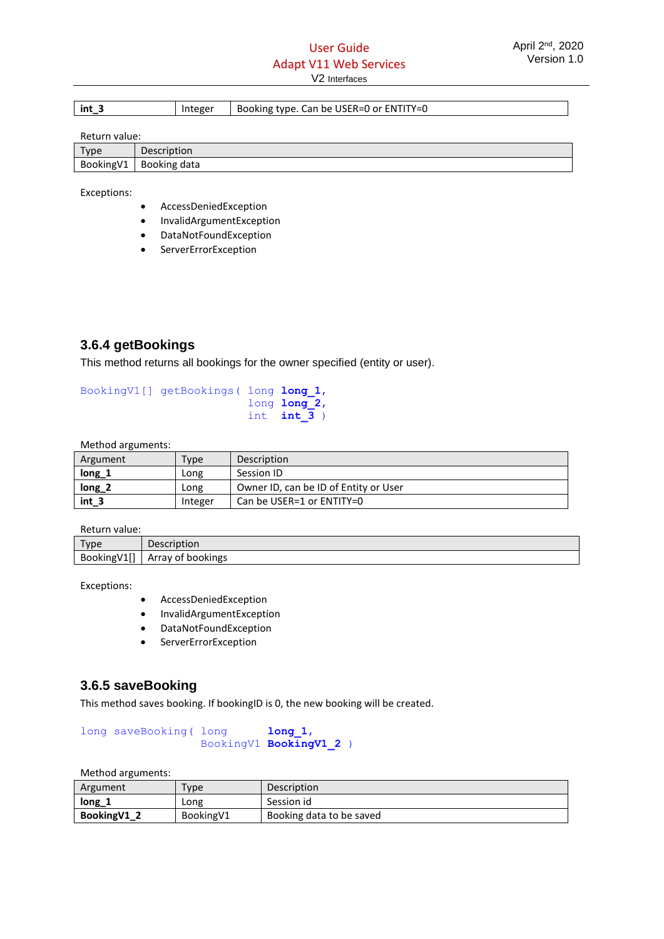| int | Integer | . Can be USER=0 or ENTITY=0<br>Booking type. |
|-----|---------|----------------------------------------------|
|-----|---------|----------------------------------------------|

Return value:

| Type       | Description  |
|------------|--------------|
| Booking V1 | Booking data |

Exceptions:

- AccessDeniedException
- InvalidArgumentException
- DataNotFoundException
- **ServerErrorException**

# <span id="page-38-0"></span>**3.6.4 getBookings**

This method returns all bookings for the owner specified (entity or user).

BookingV1[] getBookings( long **long\_1**, long **long\_2**, int  $int \frac{1}{3}$ 

Method arguments:

| -------  |         |                                       |  |
|----------|---------|---------------------------------------|--|
| Argument | Type    | Description                           |  |
| $long_1$ | Long    | Session ID                            |  |
| $long_2$ | Long    | Owner ID, can be ID of Entity or User |  |
| int 3    | Integer | Can be USER=1 or ENTITY=0             |  |

Return value:

| Tyne                              | Description            |
|-----------------------------------|------------------------|
| 145<br>BookingV:<br><b>.</b><br>. | ' of bookings<br>Arrav |

Exceptions:

- AccessDeniedException
- InvalidArgumentException
- DataNotFoundException
- ServerErrorException

# <span id="page-38-1"></span>**3.6.5 saveBooking**

This method saves booking. If bookingID is 0, the new booking will be created.

long saveBooking( long **long** 1, BookingV1 **BookingV1\_2** )

| Argument     | Type       | Description              |
|--------------|------------|--------------------------|
| $long_i$     | Long       | Session id               |
| Booking V1_2 | Booking V1 | Booking data to be saved |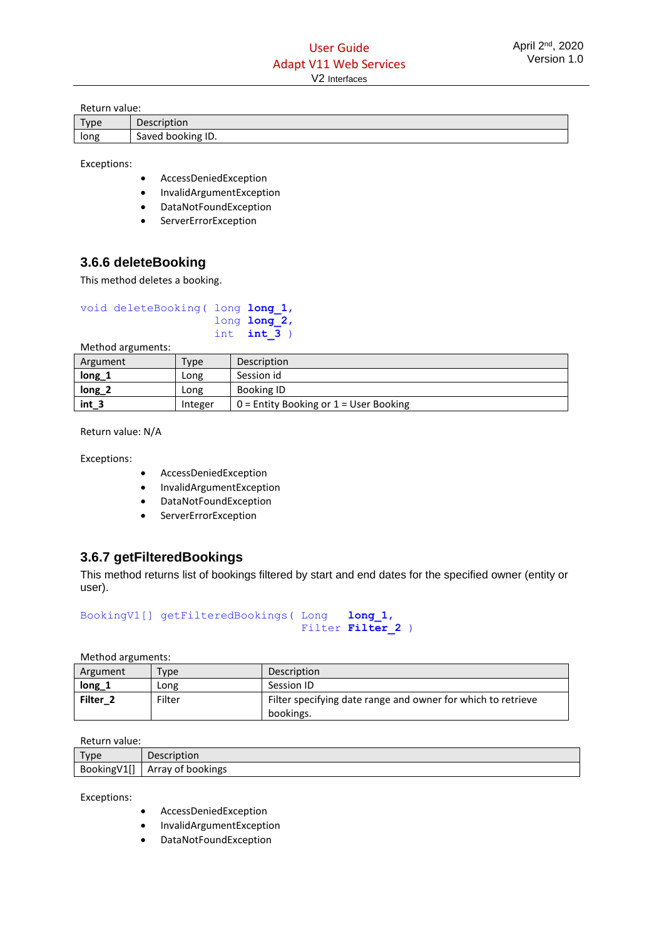| Return value: |                   |
|---------------|-------------------|
| Type          | Description       |
| long          | Saved booking ID. |

Exceptions:

- AccessDeniedException
- InvalidArgumentException
- DataNotFoundException
- ServerErrorException

# <span id="page-39-0"></span>**3.6.6 deleteBooking**

This method deletes a booking.

| void deleteBooking ( long long 1, |               |
|-----------------------------------|---------------|
|                                   | long long 2,  |
|                                   | int $int 3$ ) |

Method arguments:

| Argument         | $T$ vpe | Description                              |
|------------------|---------|------------------------------------------|
| long_1           | Long    | Session id                               |
| $long_2$         | Long    | Booking ID                               |
| int <sub>3</sub> | Integer | $0$ = Entity Booking or 1 = User Booking |

Return value: N/A

Exceptions:

- AccessDeniedException
- InvalidArgumentException
- DataNotFoundException
- ServerErrorException

# <span id="page-39-1"></span>**3.6.7 getFilteredBookings**

This method returns list of bookings filtered by start and end dates for the specified owner (entity or user).

```
BookingV1[] getFilteredBookings( Long long_1,
                                Filter Filter 2 )
```
Method arguments:

| Argument            | $v$ pe | Description                                                               |
|---------------------|--------|---------------------------------------------------------------------------|
| long 1              | LONG   | Session ID                                                                |
| Filter <sub>2</sub> | Filter | Filter specifying date range and owner for which to retrieve<br>bookings. |

Return value:

| <b>Type</b> | Description                       |
|-------------|-----------------------------------|
| BookingV1I' | <sup>.</sup> bookings<br>Array of |

Exceptions:

- AccessDeniedException
- InvalidArgumentException
- DataNotFoundException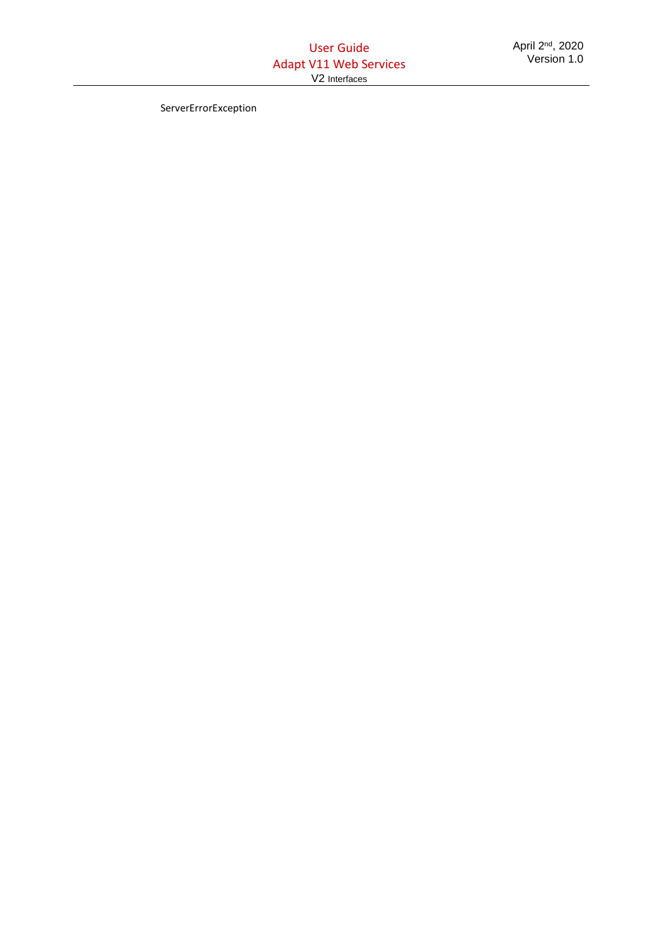ServerErrorException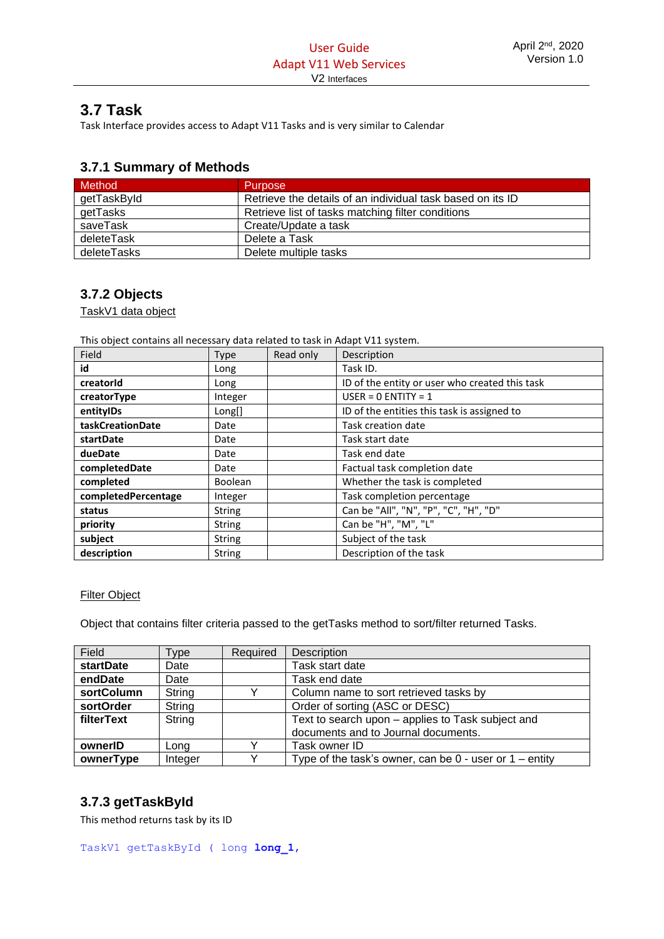# <span id="page-41-0"></span>**3.7 Task**

Task Interface provides access to Adapt V11 Tasks and is very similar to Calendar

# <span id="page-41-1"></span>**3.7.1 Summary of Methods**

| <b>Method</b> | <b>Purpose</b>                                             |
|---------------|------------------------------------------------------------|
| getTaskById   | Retrieve the details of an individual task based on its ID |
| getTasks      | Retrieve list of tasks matching filter conditions          |
| saveTask      | Create/Update a task                                       |
| deleteTask    | Delete a Task                                              |
| deleteTasks   | Delete multiple tasks                                      |

# <span id="page-41-2"></span>**3.7.2 Objects**

TaskV1 data object

This object contains all necessary data related to task in Adapt V11 system.

| Field               | Type           | Read only | Description                                    |
|---------------------|----------------|-----------|------------------------------------------------|
| id                  | Long           |           | Task ID.                                       |
| creatorid           | Long           |           | ID of the entity or user who created this task |
| creatorType         | Integer        |           | $USER = 0 ENTITY = 1$                          |
| entityIDs           | Long[]         |           | ID of the entities this task is assigned to    |
| taskCreationDate    | Date           |           | Task creation date                             |
| startDate           | Date           |           | Task start date                                |
| dueDate             | Date           |           | Task end date                                  |
| completedDate       | Date           |           | Factual task completion date                   |
| completed           | <b>Boolean</b> |           | Whether the task is completed                  |
| completedPercentage | Integer        |           | Task completion percentage                     |
| status              | <b>String</b>  |           | Can be "All", "N", "P", "C", "H", "D"          |
| priority            | <b>String</b>  |           | Can be "H", "M", "L"                           |
| subject             | <b>String</b>  |           | Subject of the task                            |
| description         | <b>String</b>  |           | Description of the task                        |

#### Filter Object

Object that contains filter criteria passed to the getTasks method to sort/filter returned Tasks.

| Field            | Type    | Required | Description                                                 |
|------------------|---------|----------|-------------------------------------------------------------|
| <b>startDate</b> | Date    |          | Task start date                                             |
| endDate          | Date    |          | Task end date                                               |
| sortColumn       | String  |          | Column name to sort retrieved tasks by                      |
| sortOrder        | String  |          | Order of sorting (ASC or DESC)                              |
| filterText       | String  |          | Text to search upon – applies to Task subject and           |
|                  |         |          | documents and to Journal documents.                         |
| ownerID          | Long    |          | Task owner ID                                               |
| ownerType        | Integer |          | Type of the task's owner, can be $0$ - user or $1$ – entity |

# <span id="page-41-3"></span>**3.7.3 getTaskById**

This method returns task by its ID

TaskV1 getTaskById ( long **long\_1**,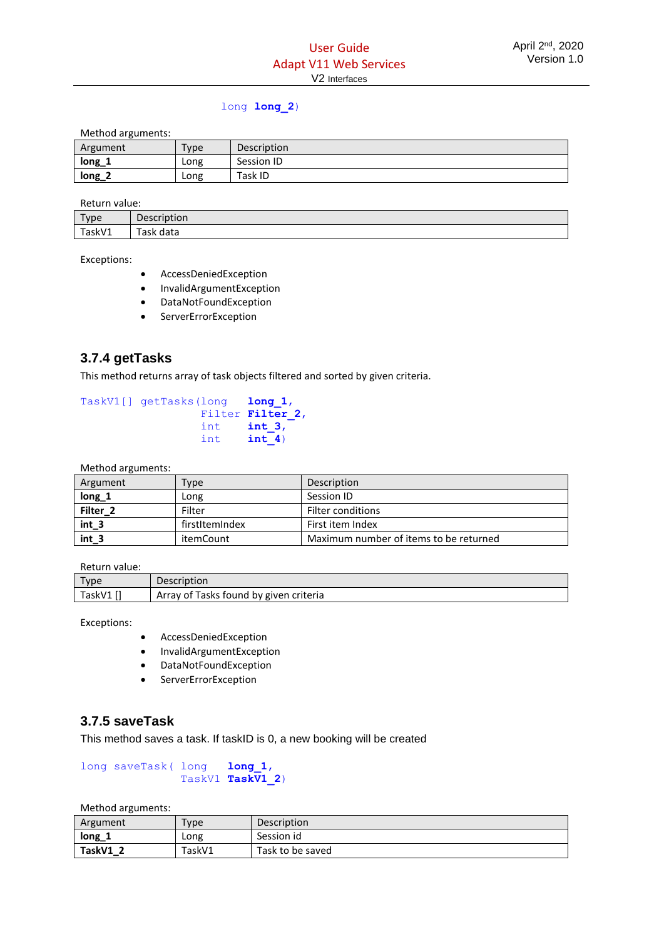# long **long\_2**)

Method arguments:

| Argument | Type | Description |
|----------|------|-------------|
| $long_1$ | Long | Session ID  |
| $long_2$ | Long | Task ID     |

Return value:

| Type<br>. . | Description                              |
|-------------|------------------------------------------|
| TaskV1      | $\overline{\phantom{a}}$<br>Fask<br>data |

Exceptions:

- AccessDeniedException
- InvalidArgumentException
- DataNotFoundException
- ServerErrorException

# <span id="page-42-0"></span>**3.7.4 getTasks**

This method returns array of task objects filtered and sorted by given criteria.

```
TaskV1[] getTasks(long long_1, 
                 Filter Filter 2,
                  int int_3, 
                  int int_4)
```
Method arguments:

| Argument            | Type           | Description                            |
|---------------------|----------------|----------------------------------------|
| long 1              | Long           | Session ID                             |
| Filter <sub>2</sub> | Filter         | <b>Filter conditions</b>               |
| $int_3$             | firstItemIndex | First item Index                       |
| $int_3$             | itemCount      | Maximum number of items to be returned |

Return value:

| Type     | Description                            |
|----------|----------------------------------------|
| TaskV1 i | Array of Tasks found by given criteria |

Exceptions:

- AccessDeniedException
- InvalidArgumentException
- DataNotFoundException
- ServerErrorException

## <span id="page-42-1"></span>**3.7.5 saveTask**

This method saves a task. If taskID is 0, a new booking will be created

```
long saveTask( long long_1,
                TaskV1 TaskV1_2)
```

| Argument | Type   | <b>Description</b> |
|----------|--------|--------------------|
| $long_1$ | Long   | Session id         |
| TaskV1 2 | TaskV1 | Task to be saved   |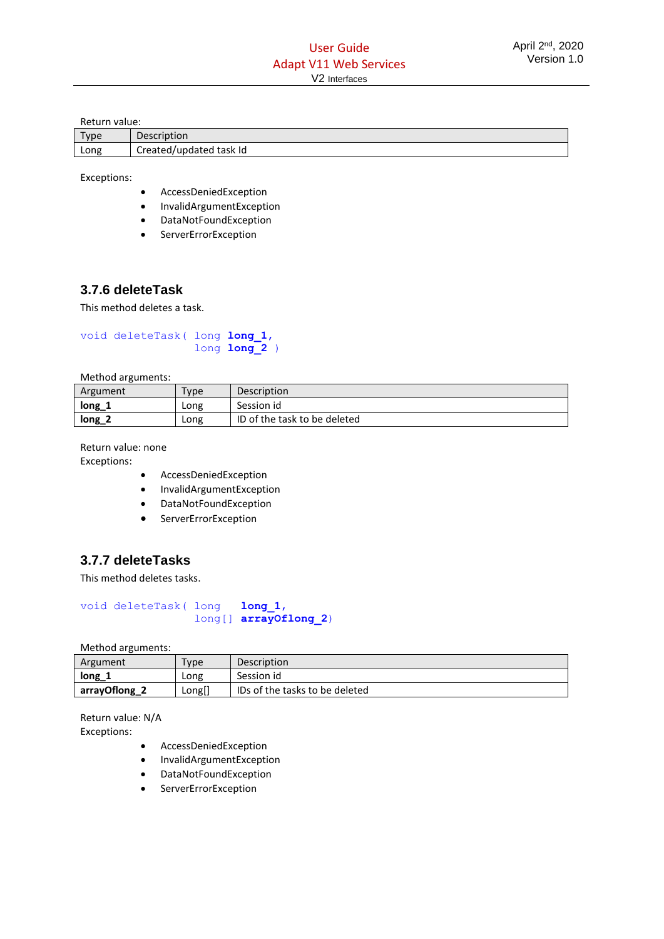Return value:

| Type | <b>Description</b>      |
|------|-------------------------|
| Long | Created/updated task Id |

Exceptions:

- AccessDeniedException
- InvalidArgumentException
- DataNotFoundException
- **ServerErrorException**

# <span id="page-43-0"></span>**3.7.6 deleteTask**

This method deletes a task.

```
void deleteTask( long long_1, 
                   long long_2 )
```
Method arguments:

| Argument | Type | <b>Description</b>           |
|----------|------|------------------------------|
| long     | Long | Session id                   |
| $long_2$ | Long | ID of the task to be deleted |

Return value: none

Exceptions:

- AccessDeniedException
- InvalidArgumentException
- DataNotFoundException
- ServerErrorException

# <span id="page-43-1"></span>**3.7.7 deleteTasks**

This method deletes tasks.

void deleteTask( long **long\_1**, long[] **arrayOflong\_2**)

Method arguments:

| Argument      | $T$ <sub>V</sub> $p$ e | <b>Description</b>             |  |
|---------------|------------------------|--------------------------------|--|
| $long_r$      | Long                   | Session id                     |  |
| arrayOflong_2 | Long[]                 | IDs of the tasks to be deleted |  |

Return value: N/A Exceptions:

- AccessDeniedException
- InvalidArgumentException
- DataNotFoundException
- ServerErrorException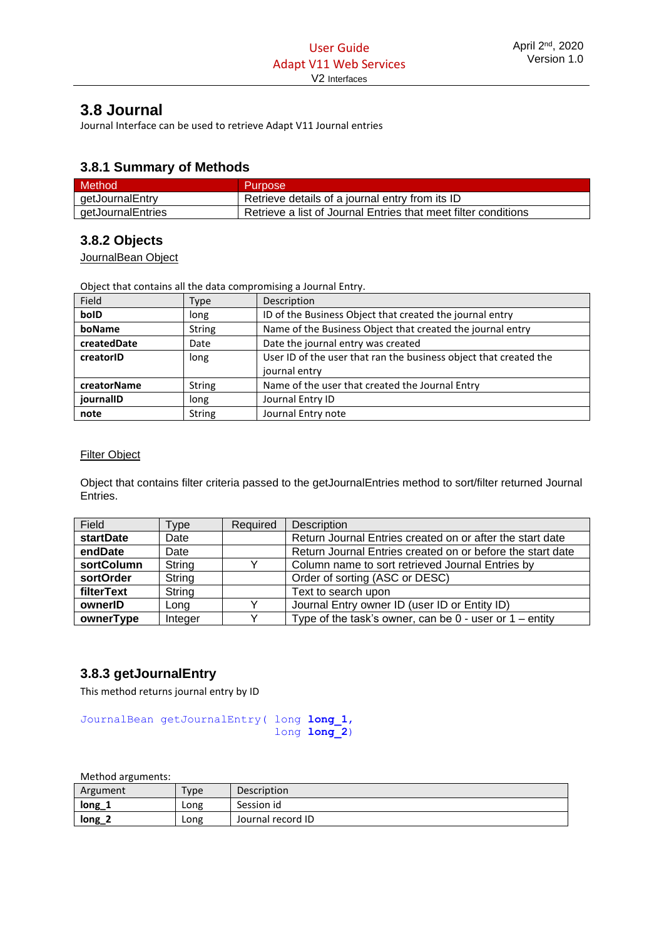# <span id="page-44-0"></span>**3.8 Journal**

Journal Interface can be used to retrieve Adapt V11 Journal entries

# <span id="page-44-1"></span>**3.8.1 Summary of Methods**

| <b>Method</b>     | <b>Purpose</b>                                                 |
|-------------------|----------------------------------------------------------------|
| getJournalEntry   | Retrieve details of a journal entry from its ID                |
| getJournalEntries | Retrieve a list of Journal Entries that meet filter conditions |

# <span id="page-44-2"></span>**3.8.2 Objects**

JournalBean Object

Object that contains all the data compromising a Journal Entry.

| <b>Field</b> | Type          | Description                                                       |  |
|--------------|---------------|-------------------------------------------------------------------|--|
| bolD         | long          | ID of the Business Object that created the journal entry          |  |
| boName       | <b>String</b> | Name of the Business Object that created the journal entry        |  |
| createdDate  | Date          | Date the journal entry was created                                |  |
| creatorID    | long          | User ID of the user that ran the business object that created the |  |
|              |               | journal entry                                                     |  |
| creatorName  | <b>String</b> | Name of the user that created the Journal Entry                   |  |
| journalID    | long          | Journal Entry ID                                                  |  |
| note         | <b>String</b> | Journal Entry note                                                |  |

#### Filter Object

Object that contains filter criteria passed to the getJournalEntries method to sort/filter returned Journal Entries.

| Field            | Type    | Required | Description                                                 |
|------------------|---------|----------|-------------------------------------------------------------|
| <b>startDate</b> | Date    |          | Return Journal Entries created on or after the start date   |
| endDate          | Date    |          | Return Journal Entries created on or before the start date  |
| sortColumn       | String  |          | Column name to sort retrieved Journal Entries by            |
| sortOrder        | String  |          | Order of sorting (ASC or DESC)                              |
| filterText       | String  |          | Text to search upon                                         |
| ownerID          | Long    |          | Journal Entry owner ID (user ID or Entity ID)               |
| ownerType        | Integer |          | Type of the task's owner, can be $0$ - user or $1$ – entity |

# <span id="page-44-3"></span>**3.8.3 getJournalEntry**

This method returns journal entry by ID

JournalBean getJournalEntry( long **long\_1**, long **long\_2**)

| Argument | Type | Description       |
|----------|------|-------------------|
| $long_1$ | LONg | Session id        |
| $long_2$ | Long | Journal record ID |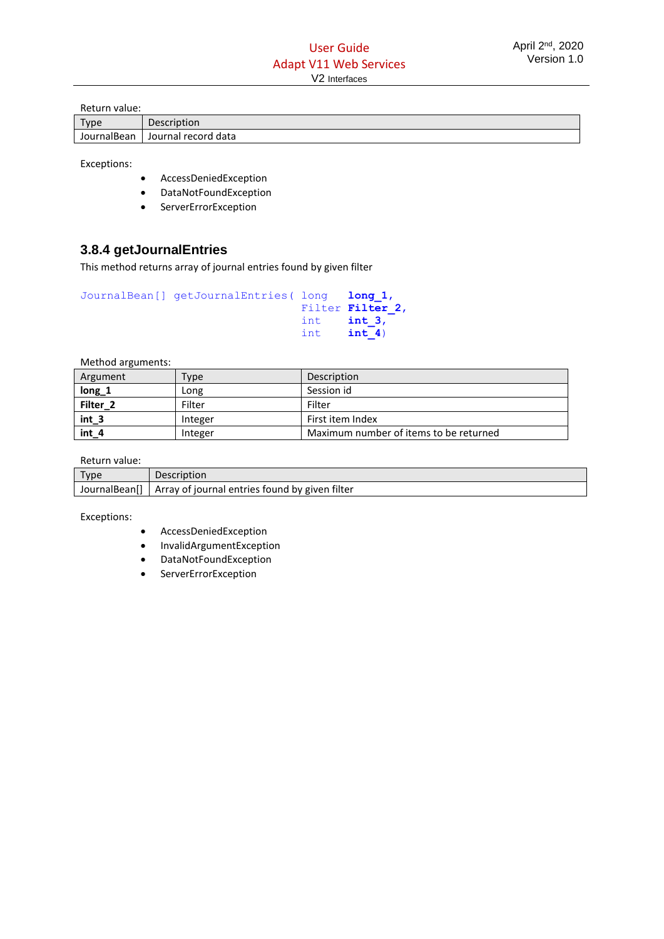Return value:

| Type        | Description         |
|-------------|---------------------|
| JournalBean | Journal record data |

Exceptions:

- AccessDeniedException
- DataNotFoundException
- ServerErrorException

# <span id="page-45-0"></span>**3.8.4 getJournalEntries**

This method returns array of journal entries found by given filter

```
JournalBean[] getJournalEntries( long long_1, 
                                  Filter Filter_2, 
                                  int int_3, 
                                  int int_4)
```
Method arguments:

| Argument            | Type    | Description                            |
|---------------------|---------|----------------------------------------|
| $long_1$            | Long    | Session id                             |
| Filter <sub>2</sub> | Filter  | Filter                                 |
| $int_3$             | Integer | First item Index                       |
| $int_4$             | Integer | Maximum number of items to be returned |

Return value:

| Type | Description                                                    |
|------|----------------------------------------------------------------|
|      | JournalBean[]   Array of journal entries found by given filter |

Exceptions:

- AccessDeniedException
- InvalidArgumentException
- DataNotFoundException
- ServerErrorException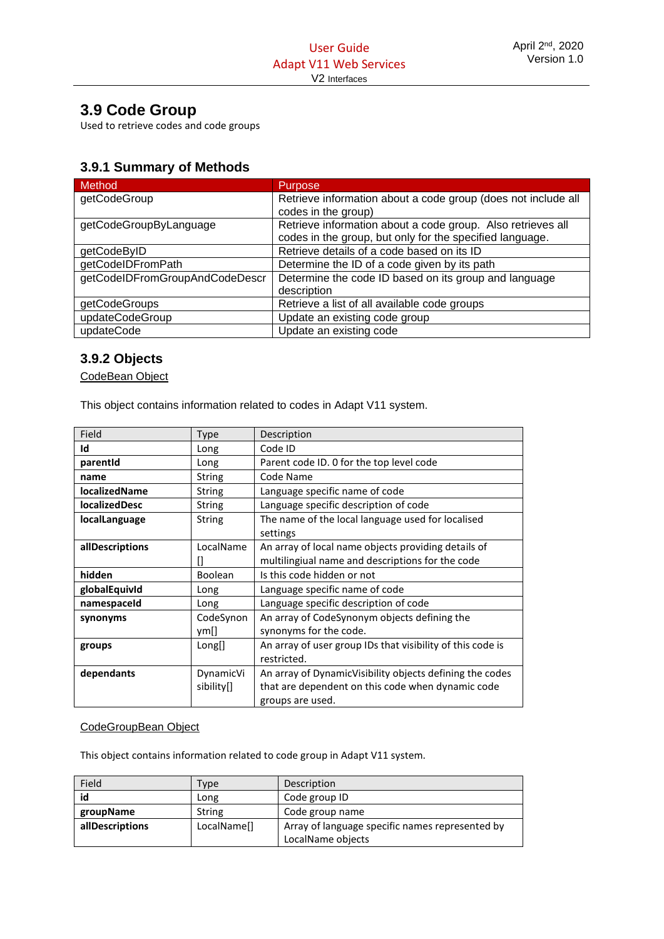# <span id="page-46-0"></span>**3.9 Code Group**

Used to retrieve codes and code groups

# <span id="page-46-1"></span>**3.9.1 Summary of Methods**

| Method                         | <b>Purpose</b>                                                |
|--------------------------------|---------------------------------------------------------------|
| getCodeGroup                   | Retrieve information about a code group (does not include all |
|                                | codes in the group)                                           |
| getCodeGroupByLanguage         | Retrieve information about a code group. Also retrieves all   |
|                                | codes in the group, but only for the specified language.      |
| getCodeByID                    | Retrieve details of a code based on its ID                    |
| getCodeIDFromPath              | Determine the ID of a code given by its path                  |
| getCodeIDFromGroupAndCodeDescr | Determine the code ID based on its group and language         |
|                                | description                                                   |
| getCodeGroups                  | Retrieve a list of all available code groups                  |
| updateCodeGroup                | Update an existing code group                                 |
| updateCode                     | Update an existing code                                       |

# <span id="page-46-2"></span>**3.9.2 Objects**

CodeBean Object

This object contains information related to codes in Adapt V11 system.

| Field                | Type           | Description                                                |  |  |
|----------------------|----------------|------------------------------------------------------------|--|--|
| Id                   | Long           | Code ID                                                    |  |  |
| parentid             | Long           | Parent code ID. 0 for the top level code                   |  |  |
| name                 | <b>String</b>  | Code Name                                                  |  |  |
| <b>localizedName</b> | <b>String</b>  | Language specific name of code                             |  |  |
| <b>localizedDesc</b> | String         | Language specific description of code                      |  |  |
| localLanguage        | <b>String</b>  | The name of the local language used for localised          |  |  |
|                      |                | settings                                                   |  |  |
| allDescriptions      | LocalName      | An array of local name objects providing details of        |  |  |
|                      |                | multilingiual name and descriptions for the code           |  |  |
| hidden               | <b>Boolean</b> | Is this code hidden or not                                 |  |  |
| globalEquivId        | Long           | Language specific name of code                             |  |  |
| namespaceId          | Long           | Language specific description of code                      |  |  |
| synonyms             | CodeSynon      | An array of CodeSynonym objects defining the               |  |  |
|                      | ym[]           | synonyms for the code.                                     |  |  |
| groups               | Long[]         | An array of user group IDs that visibility of this code is |  |  |
|                      |                | restricted.                                                |  |  |
| dependants           | DynamicVi      | An array of DynamicVisibility objects defining the codes   |  |  |
|                      | sibility[]     | that are dependent on this code when dynamic code          |  |  |
|                      |                | groups are used.                                           |  |  |

#### CodeGroupBean Object

This object contains information related to code group in Adapt V11 system.

| Field           | Type                                                                       | Description       |  |
|-----------------|----------------------------------------------------------------------------|-------------------|--|
| id              | Long                                                                       | Code group ID     |  |
| groupName       | String                                                                     | Code group name   |  |
| allDescriptions | Array of language specific names represented by<br>LocalName <sup>[]</sup> |                   |  |
|                 |                                                                            | LocalName objects |  |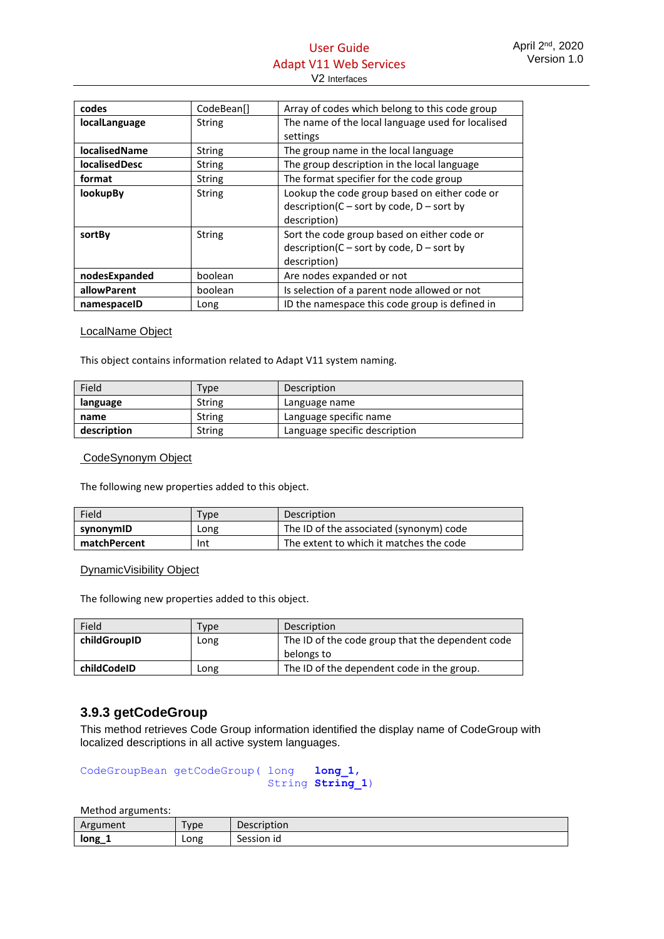# User Guide Adapt V11 Web Services V2 Interfaces

| codes                | CodeBean[]    | Array of codes which belong to this code group                                                               |  |
|----------------------|---------------|--------------------------------------------------------------------------------------------------------------|--|
| localLanguage        | <b>String</b> | The name of the local language used for localised                                                            |  |
|                      |               | settings                                                                                                     |  |
| <b>localisedName</b> | <b>String</b> | The group name in the local language                                                                         |  |
| <b>localisedDesc</b> | <b>String</b> | The group description in the local language                                                                  |  |
| format               | <b>String</b> | The format specifier for the code group                                                                      |  |
| <b>lookupBy</b>      | <b>String</b> | Lookup the code group based on either code or<br>$description(C - sort by code, D - sort by$<br>description) |  |
| sortBy               | <b>String</b> | Sort the code group based on either code or<br>$description(C - sort by code, D - sort by$<br>description)   |  |
| nodesExpanded        | boolean       | Are nodes expanded or not                                                                                    |  |
| allowParent          | boolean       | Is selection of a parent node allowed or not                                                                 |  |
| namespaceID          | Long          | ID the namespace this code group is defined in                                                               |  |

#### LocalName Object

This object contains information related to Adapt V11 system naming.

| Field       | Type          | Description                   |  |
|-------------|---------------|-------------------------------|--|
| language    | String        | Language name                 |  |
| name        | String        | Language specific name        |  |
| description | <b>String</b> | Language specific description |  |

#### CodeSynonym Object

The following new properties added to this object.

| Field               | Type | Description                             |
|---------------------|------|-----------------------------------------|
| synonymID<br>Long   |      | The ID of the associated (synonym) code |
| matchPercent<br>Int |      | The extent to which it matches the code |

#### DynamicVisibility Object

The following new properties added to this object.

| Field        | Type | Description                                      |  |
|--------------|------|--------------------------------------------------|--|
| childGroupID | Long | The ID of the code group that the dependent code |  |
|              |      | belongs to                                       |  |
| childCodeID  | Long | The ID of the dependent code in the group.       |  |

# <span id="page-47-0"></span>**3.9.3 getCodeGroup**

This method retrieves Code Group information identified the display name of CodeGroup with localized descriptions in all active system languages.

CodeGroupBean getCodeGroup( long **long\_1**, String **String\_1**)

| . .      |                       |             |
|----------|-----------------------|-------------|
| Argument | $T$ <sub>V</sub> $pe$ | Description |
| long     | Long                  | Session id  |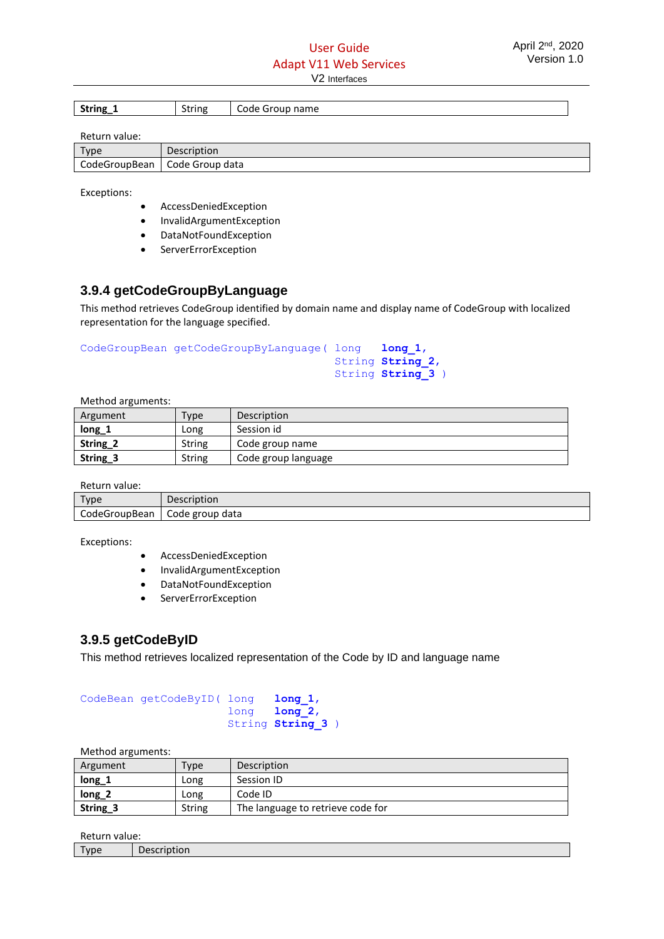| <b>String</b> | $\sim$ |                    |
|---------------|--------|--------------------|
| 0-            | string | Group name<br>Code |

Return value:

| $T$ vpe       | <b>Description</b> |
|---------------|--------------------|
| CodeGroupBean | Code Group data    |

Exceptions:

- AccessDeniedException
- InvalidArgumentException
- DataNotFoundException
- ServerErrorException

# <span id="page-48-0"></span>**3.9.4 getCodeGroupByLanguage**

This method retrieves CodeGroup identified by domain name and display name of CodeGroup with localized representation for the language specified.

```
CodeGroupBean getCodeGroupByLanguage( long long_1, 
                                         String String_2, 
                                         String String_3 )
```
Method arguments:

| Argument | Type          | Description         |
|----------|---------------|---------------------|
| $long_1$ | Long          | Session id          |
| String_2 | <b>String</b> | Code group name     |
| String_3 | <b>String</b> | Code group language |

Return value:

| .             |                 |
|---------------|-----------------|
| Tyne          | Description     |
| CodeGroupBean | Code group data |

Exceptions:

- AccessDeniedException
- InvalidArgumentException
- DataNotFoundException
- ServerErrorException

# <span id="page-48-1"></span>**3.9.5 getCodeByID**

This method retrieves localized representation of the Code by ID and language name

| CodeBean getCodeByID( long long 1, |                    |
|------------------------------------|--------------------|
|                                    | $long$ $long$ $2,$ |
|                                    | String String 3)   |

Method arguments:

| ີ        |               |                                   |  |
|----------|---------------|-----------------------------------|--|
| Argument | Type          | <b>Description</b>                |  |
| $long_1$ | Long          | Session ID                        |  |
| $long_2$ | Long          | Code ID                           |  |
| String_3 | <b>String</b> | The language to retrieve code for |  |

Return value:

| nctan nanaci |        |  |
|--------------|--------|--|
| 'vpe         | ווטווי |  |
|              |        |  |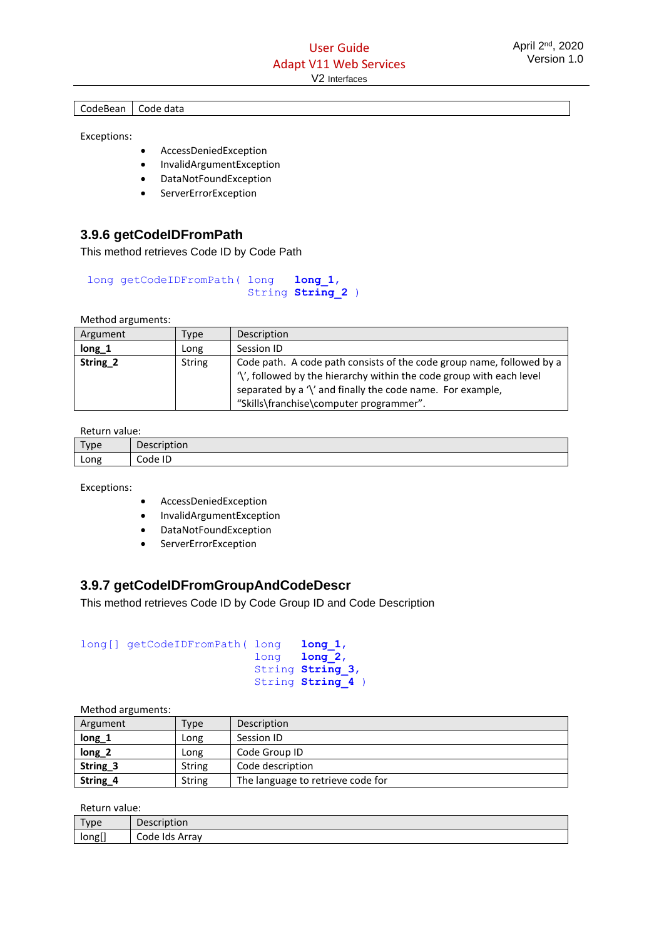#### CodeBean | Code data

Exceptions:

- AccessDeniedException
- InvalidArgumentException
- DataNotFoundException
- ServerErrorException

# <span id="page-49-0"></span>**3.9.6 getCodeIDFromPath**

This method retrieves Code ID by Code Path

```
long getCodeIDFromPath( long long_1, 
                        String String_2 )
```
Method arguments:

| Argument | Type   | Description                                                           |  |
|----------|--------|-----------------------------------------------------------------------|--|
| $long_1$ | LONG   | Session ID                                                            |  |
| String_2 | String | Code path. A code path consists of the code group name, followed by a |  |
|          |        | '\', followed by the hierarchy within the code group with each level  |  |
|          |        | separated by a '\' and finally the code name. For example,            |  |
|          |        | "Skills\franchise\computer programmer".                               |  |

Return value:

| Type | Description |
|------|-------------|
| Long | Code ID     |

Exceptions:

- AccessDeniedException
- InvalidArgumentException
- DataNotFoundException
- ServerErrorException

# <span id="page-49-1"></span>**3.9.7 getCodeIDFromGroupAndCodeDescr**

This method retrieves Code ID by Code Group ID and Code Description

```
long[] getCodeIDFromPath( long long 1,
                            long long_2,
                           String String_3,
                           String String_4 )
```

| Method arguments: |          |               |                                   |
|-------------------|----------|---------------|-----------------------------------|
|                   | Argument | Type          | Description                       |
|                   | $long_1$ | Long          | Session ID                        |
|                   | $long_2$ | Long          | Code Group ID                     |
|                   | String_3 | String        | Code description                  |
|                   | String_4 | <b>String</b> | The language to retrieve code for |

Return value:

| Type              | Description |
|-------------------|-------------|
| - 7               | Code Ids    |
| long <sub>l</sub> | . Arrav     |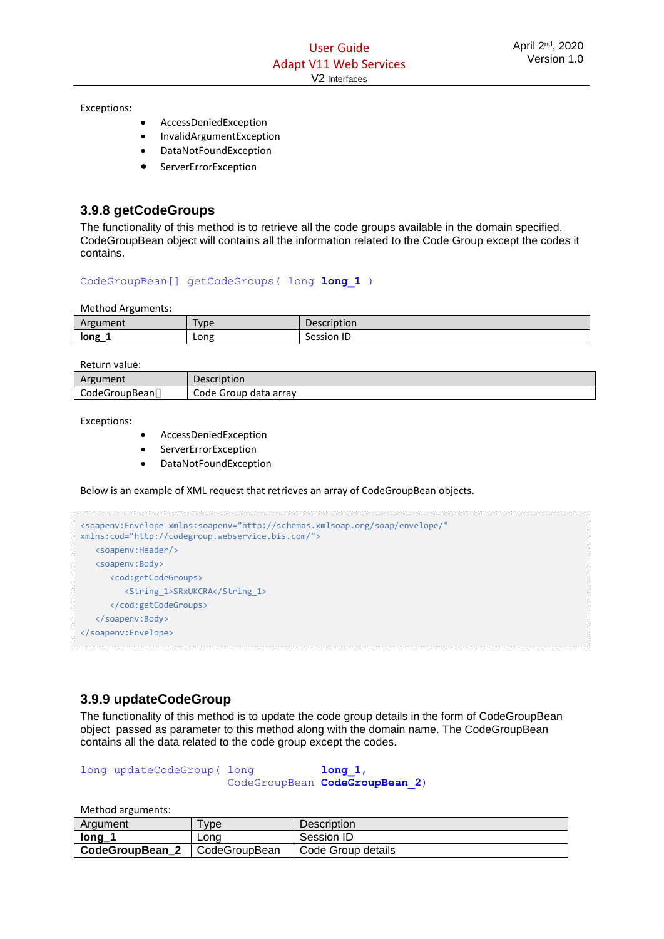Exceptions:

- AccessDeniedException
- InvalidArgumentException
- DataNotFoundException
- **ServerErrorException**

# <span id="page-50-0"></span>**3.9.8 getCodeGroups**

The functionality of this method is to retrieve all the code groups available in the domain specified. CodeGroupBean object will contains all the information related to the Code Group except the codes it contains.

CodeGroupBean[] getCodeGroups( long **long\_1** )

Method Arguments:

| Argument    | Type | $\sim$<br>ition              |
|-------------|------|------------------------------|
| long<br>. . | Long | $\overline{1}$<br>Session ID |

Return value:

| ment<br>Argu              | Description              |
|---------------------------|--------------------------|
| CodeGroupBean<br>$-0 - -$ | data arrav<br>Code<br>וט |

Exceptions:

- AccessDeniedException
- **ServerErrorException**
- DataNotFoundException

Below is an example of XML request that retrieves an array of CodeGroupBean objects.

```
<soapenv:Envelope xmlns:soapenv="http://schemas.xmlsoap.org/soap/envelope/" 
xmlns:cod="http://codegroup.webservice.bis.com/">
    <soapenv:Header/>
    <soapenv:Body>
       <cod:getCodeGroups>
          <String_1>SRxUKCRA</String_1>
       </cod:getCodeGroups>
    </soapenv:Body>
</soapenv:Envelope>
```
# <span id="page-50-1"></span>**3.9.9 updateCodeGroup**

The functionality of this method is to update the code group details in the form of CodeGroupBean object passed as parameter to this method along with the domain name. The CodeGroupBean contains all the data related to the code group except the codes.

long updateCodeGroup( long **long\_1**, CodeGroupBean **CodeGroupBean\_2**)

| Argument        | <b>vpe</b>    | Description        |
|-----------------|---------------|--------------------|
| long            | Lona          | Session ID         |
| CodeGroupBean 2 | CodeGroupBean | Code Group details |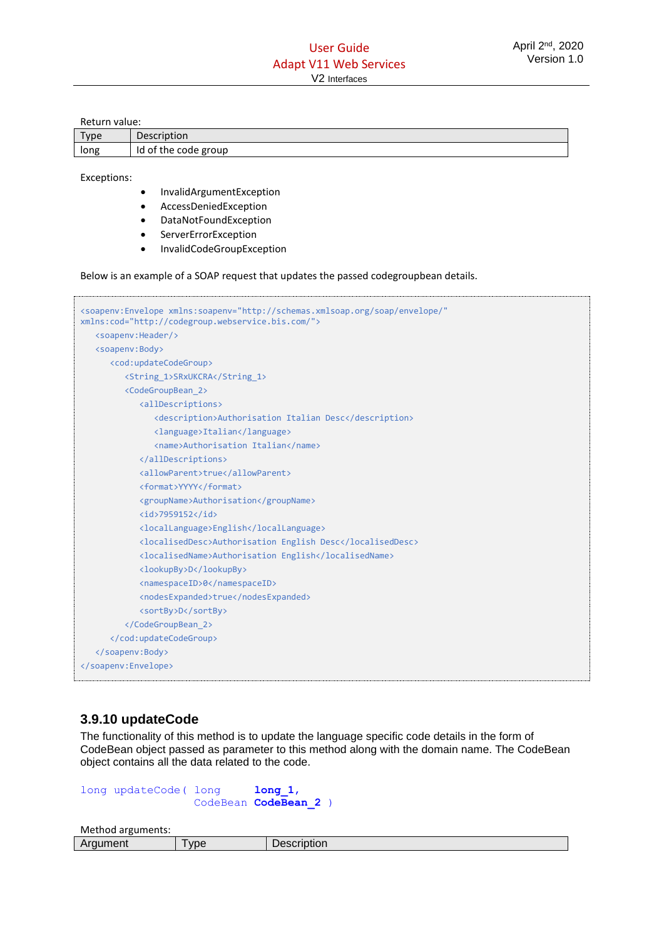Return value:

| Type | <b>Description</b>   |
|------|----------------------|
| long | Id of the code group |

Exceptions:

- InvalidArgumentException
- AccessDeniedException
- DataNotFoundException
- ServerErrorException
- InvalidCodeGroupException

Below is an example of a SOAP request that updates the passed codegroupbean details.

| <soapenv:envelope <br="" xmlns:soapenv="http://schemas.xmlsoap.org/soap/envelope/">xmlns:cod="http://codegroup.webservice.bis.com/"&gt;</soapenv:envelope> |
|------------------------------------------------------------------------------------------------------------------------------------------------------------|
| <soapenv:header></soapenv:header>                                                                                                                          |
| <soapenv:body></soapenv:body>                                                                                                                              |
| <cod:updatecodegroup></cod:updatecodegroup>                                                                                                                |
| <string 1="">SRxUKCRA</string>                                                                                                                             |
| <codegroupbean 2=""></codegroupbean>                                                                                                                       |
| <alldescriptions></alldescriptions>                                                                                                                        |
| <description>Authorisation Italian Desc</description>                                                                                                      |
| <language>Italian</language>                                                                                                                               |
| <name>Authorisation Italian</name>                                                                                                                         |
|                                                                                                                                                            |
| <allowparent>true</allowparent>                                                                                                                            |
| <format>YYYY</format>                                                                                                                                      |
| <groupname>Authorisation</groupname>                                                                                                                       |
| $\langle$ id>7959152                                                                                                                                       |
| <locallanguage>English</locallanguage>                                                                                                                     |
| <localiseddesc>Authorisation English Desc</localiseddesc>                                                                                                  |
| <localisedname>Authorisation English</localisedname>                                                                                                       |
| <lookupby>D</lookupby>                                                                                                                                     |
| <namespaceid>0</namespaceid>                                                                                                                               |
| <nodesexpanded>true</nodesexpanded>                                                                                                                        |
| <sortby>D</sortby>                                                                                                                                         |
|                                                                                                                                                            |
|                                                                                                                                                            |
|                                                                                                                                                            |
|                                                                                                                                                            |
|                                                                                                                                                            |

## <span id="page-51-0"></span>**3.9.10 updateCode**

The functionality of this method is to update the language specific code details in the form of CodeBean object passed as parameter to this method along with the domain name. The CodeBean object contains all the data related to the code.

```
long updateCode( long long_1,
                 CodeBean CodeBean_2 )
```

| .<br>AD<br>nent | <b>VDE</b> | ----<br>- - - - -<br>∼⊷⊔pu∪n - |
|-----------------|------------|--------------------------------|
|                 |            |                                |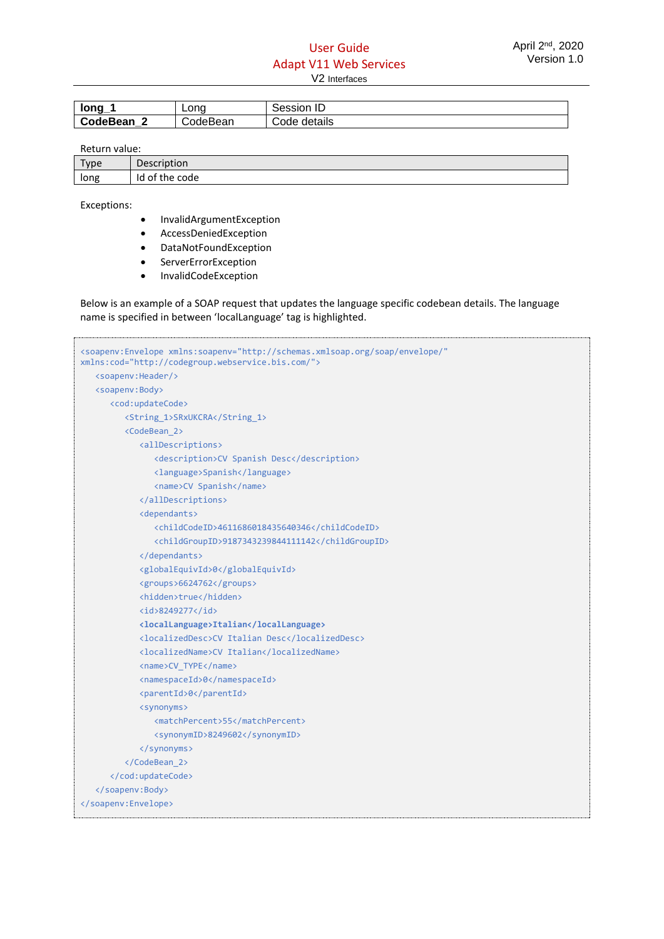| $long_1$   | Lona     | Session ID   |
|------------|----------|--------------|
| CodeBean 2 | CodeBean | Code details |

Return value:

| Type | Description    |  |
|------|----------------|--|
| long | Id of the code |  |

Exceptions:

- InvalidArgumentException
- AccessDeniedException
- DataNotFoundException
- **ServerErrorException**
- InvalidCodeException

Below is an example of a SOAP request that updates the language specific codebean details. The language name is specified in between 'localLanguage' tag is highlighted.

```
<soapenv:Envelope xmlns:soapenv="http://schemas.xmlsoap.org/soap/envelope/" 
xmlns:cod="http://codegroup.webservice.bis.com/">
    <soapenv:Header/>
    <soapenv:Body>
       <cod:updateCode>
          <String_1>SRxUKCRA</String_1>
          <CodeBean_2>
             <allDescriptions>
                <description>CV Spanish Desc</description>
                <language>Spanish</language>
                <name>CV Spanish</name>
             </allDescriptions>
             <dependants>
                <childCodeID>4611686018435640346</childCodeID>
                <childGroupID>9187343239844111142</childGroupID>
             </dependants>
             <globalEquivId>0</globalEquivId>
             <groups>6624762</groups>
             <hidden>true</hidden>
             <id>8249277</id>
             <localLanguage>Italian</localLanguage>
             <localizedDesc>CV Italian Desc</localizedDesc>
             <localizedName>CV Italian</localizedName>
             <name>CV_TYPE</name>
             <namespaceId>0</namespaceId>
             <parentId>0</parentId>
             <synonyms>
                <matchPercent>55</matchPercent>
                <synonymID>8249602</synonymID>
             </synonyms>
          </CodeBean_2>
       </cod:updateCode>
    </soapenv:Body>
</soapenv:Envelope>
```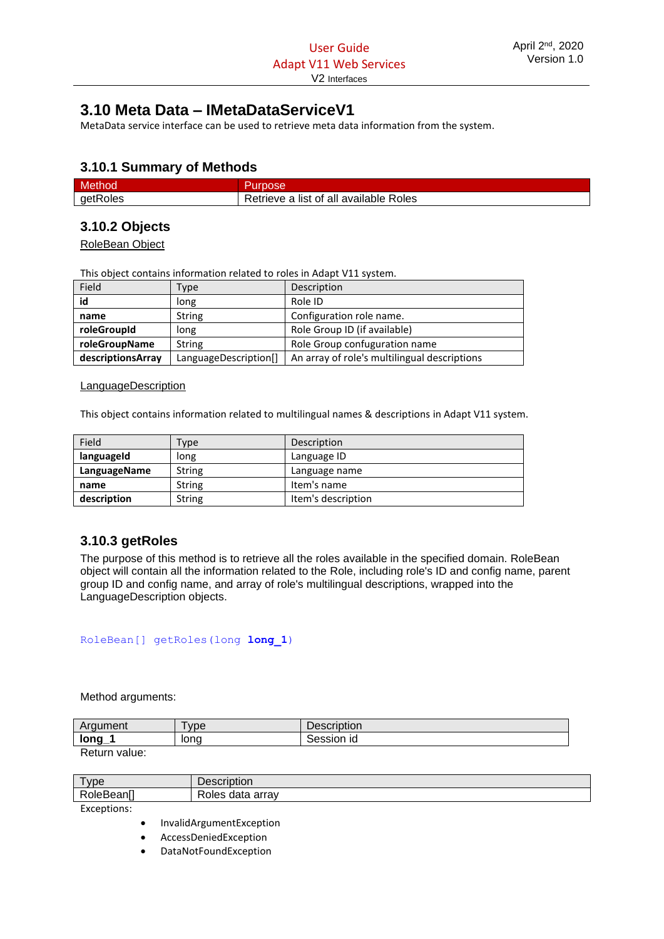# <span id="page-53-0"></span>**3.10 Meta Data – IMetaDataServiceV1**

MetaData service interface can be used to retrieve meta data information from the system.

# <span id="page-53-1"></span>**3.10.1 Summary of Methods**

| Method   |                                        |
|----------|----------------------------------------|
| getRoles | Retrieve a list of all available Roles |

# <span id="page-53-2"></span>**3.10.2 Objects**

RoleBean Object

This object contains information related to roles in Adapt V11 system.

| Field             | Type                  | Description                                  |
|-------------------|-----------------------|----------------------------------------------|
| id                | long                  | Role ID                                      |
| name              | <b>String</b>         | Configuration role name.                     |
| roleGroupId       | long                  | Role Group ID (if available)                 |
| roleGroupName     | String                | Role Group confuguration name                |
| descriptionsArray | LanguageDescription[] | An array of role's multilingual descriptions |

#### **LanguageDescription**

This object contains information related to multilingual names & descriptions in Adapt V11 system.

| Field        | 'ype          | Description        |
|--------------|---------------|--------------------|
| languageId   | long          | Language ID        |
| LanguageName | String        | Language name      |
| name         | <b>String</b> | Item's name        |
| description  | <b>String</b> | Item's description |

# <span id="page-53-3"></span>**3.10.3 getRoles**

The purpose of this method is to retrieve all the roles available in the specified domain. RoleBean object will contain all the information related to the Role, including role's ID and config name, parent group ID and config name, and array of role's multilingual descriptions, wrapped into the LanguageDescription objects.

RoleBean[] getRoles(long **long\_1**)

Method arguments:

| Araument | <b>vpe</b> | Description |
|----------|------------|-------------|
| long_    | lona       | Session id  |
| __       |            |             |

Return value:

| vne                                          | .<br>. .<br>הטווי          |
|----------------------------------------------|----------------------------|
| -<br>- --<br>$\mathbf{\kappa}$<br>⊣ונ<br>. . | -<br>arrav<br>gata<br>ole. |

Exceptions:

• InvalidArgumentException

• AccessDeniedException

• DataNotFoundException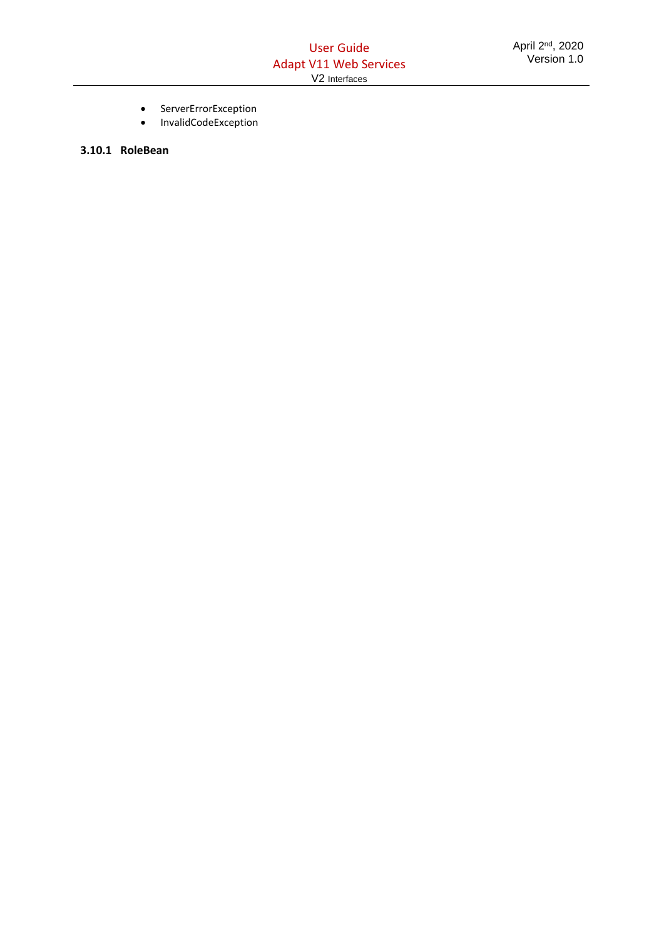- ServerErrorException
- InvalidCodeException

**3.10.1 RoleBean**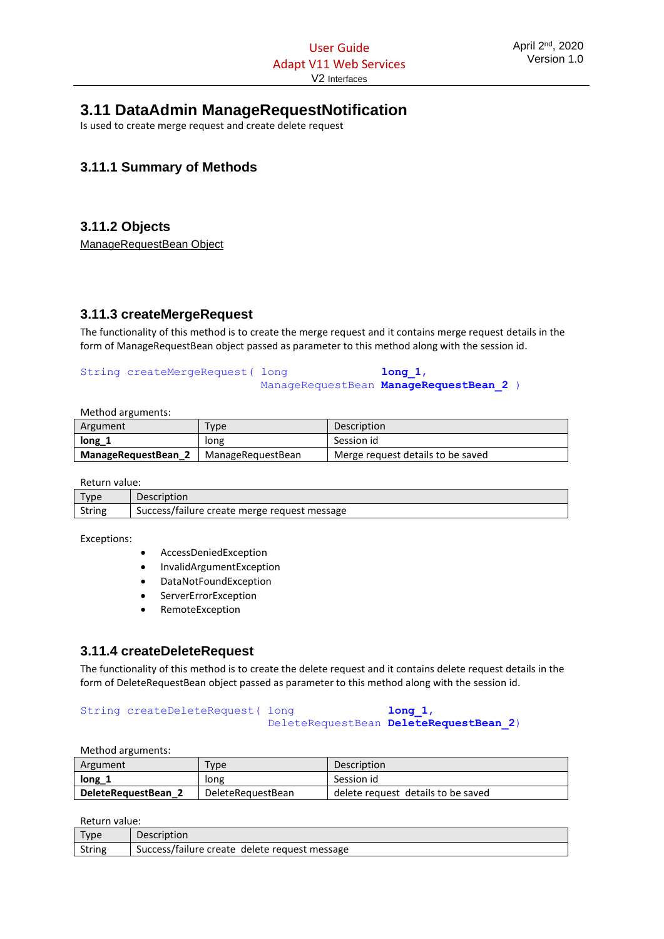# <span id="page-55-0"></span>**3.11 DataAdmin ManageRequestNotification**

Is used to create merge request and create delete request

# <span id="page-55-1"></span>**3.11.1 Summary of Methods**

# <span id="page-55-2"></span>**3.11.2 Objects**

ManageRequestBean Object

## <span id="page-55-3"></span>**3.11.3 createMergeRequest**

The functionality of this method is to create the merge request and it contains merge request details in the form of ManageRequestBean object passed as parameter to this method along with the session id.

#### String createMergeRequest( long **discrept in the long 1**, ManageRequestBean **ManageRequestBean\_2** )

Method arguments:

| Argument            | Type              | <b>Description</b>                |
|---------------------|-------------------|-----------------------------------|
| $long_1$            | long              | Session id                        |
| ManageRequestBean 2 | ManageRequestBean | Merge request details to be saved |

Return value:

| <b>Type</b> | <b>Description</b>                           |
|-------------|----------------------------------------------|
| String      | Success/failure create merge request message |

Exceptions:

- AccessDeniedException
- InvalidArgumentException
- DataNotFoundException
- **ServerErrorException**
- RemoteException

## <span id="page-55-4"></span>**3.11.4 createDeleteRequest**

The functionality of this method is to create the delete request and it contains delete request details in the form of DeleteRequestBean object passed as parameter to this method along with the session id.

#### String createDeleteRequest( long **long** 1, DeleteRequestBean **DeleteRequestBean\_2**)

Method arguments:

| Argument            | Type              | Description                        |
|---------------------|-------------------|------------------------------------|
| $long_1$            | long              | Session id                         |
| DeleteRequestBean 2 | DeleteRequestBean | delete request details to be saved |

Return value:

| Type   | <b>Description</b>                            |
|--------|-----------------------------------------------|
| String | Success/failure create delete request message |